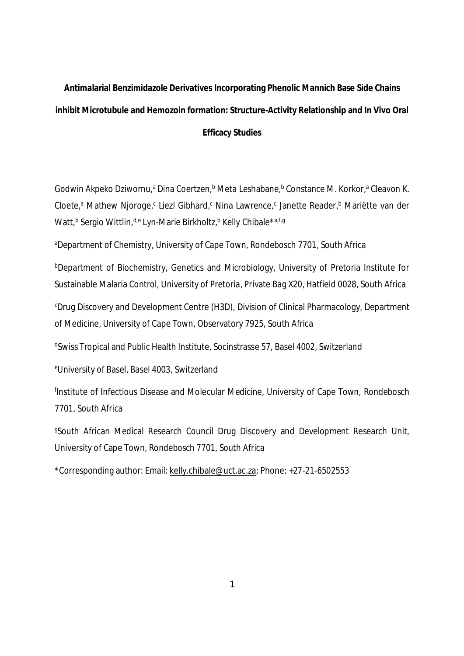**Antimalarial Benzimidazole Derivatives Incorporating Phenolic Mannich Base Side Chains inhibit Microtubule and Hemozoin formation: Structure-Activity Relationship and In Vivo Oral**

**Efficacy Studies**

Godwin Akpeko Dziwornu,<sup>a</sup> Dina Coertzen,<sup>b</sup> Meta Leshabane,<sup>b</sup> Constance M. Korkor,<sup>a</sup> Cleavon K. Cloete,<sup>a</sup> Mathew Njoroge,<sup>c</sup> Liezl Gibhard,<sup>c</sup> Nina Lawrence,<sup>c</sup> Janette Reader,<sup>b</sup> Mariëtte van der Watt,<sup>b</sup> Sergio Wittlin,<sup>d,e</sup> Lyn-Marie Birkholtz,<sup>b</sup> Kelly Chibale\*<sup>a,f,g</sup>

<sup>a</sup>Department of Chemistry, University of Cape Town, Rondebosch 7701, South Africa

<sup>b</sup>Department of Biochemistry, Genetics and Microbiology, University of Pretoria Institute for Sustainable Malaria Control, University of Pretoria, Private Bag X20, Hatfield 0028, South Africa

<sup>c</sup>Drug Discovery and Development Centre (H3D), Division of Clinical Pharmacology, Department of Medicine, University of Cape Town, Observatory 7925, South Africa

<sup>d</sup>Swiss Tropical and Public Health Institute, Socinstrasse 57, Basel 4002, Switzerland

<sup>e</sup>University of Basel, Basel 4003, Switzerland

<sup>f</sup>Institute of Infectious Disease and Molecular Medicine, University of Cape Town, Rondebosch 7701, South Africa

9South African Medical Research Council Drug Discovery and Development Research Unit, University of Cape Town, Rondebosch 7701, South Africa

\*Corresponding author: Email: [kelly.chibale@uct.ac.za;](mailto:kelly.chibale:@uct.ac.za) Phone: +27-21-6502553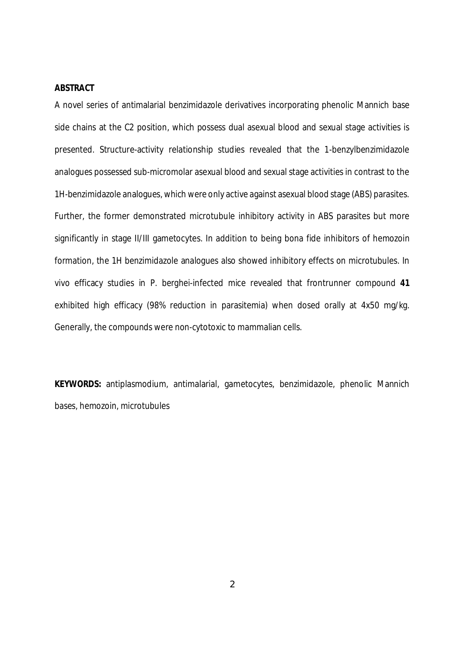#### **ABSTRACT**

A novel series of antimalarial benzimidazole derivatives incorporating phenolic Mannich base side chains at the C2 position, which possess dual asexual blood and sexual stage activities is presented. Structure-activity relationship studies revealed that the 1-benzylbenzimidazole analogues possessed sub-micromolar asexual blood and sexual stage activities in contrast to the 1*H*-benzimidazole analogues, which were only active against asexual blood stage (ABS) parasites. Further, the former demonstrated microtubule inhibitory activity in ABS parasites but more significantly in stage II/III gametocytes. In addition to being bona fide inhibitors of hemozoin formation, the 1*H* benzimidazole analogues also showed inhibitory effects on microtubules. In vivo efficacy studies in *P. berghei*-infected mice revealed that frontrunner compound **41** exhibited high efficacy (98% reduction in parasitemia) when dosed orally at 4x50 mg/kg. Generally, the compounds were non-cytotoxic to mammalian cells.

**KEYWORDS:** antiplasmodium, antimalarial, gametocytes, benzimidazole, phenolic Mannich bases, hemozoin, microtubules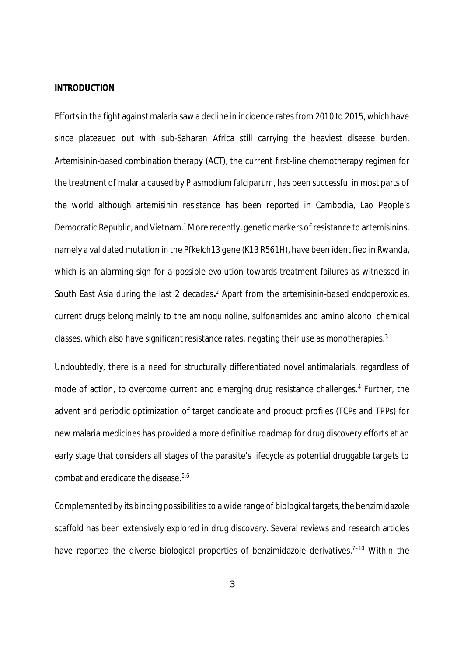#### **INTRODUCTION**

Efforts in the fight against malaria saw a decline in incidence rates from 2010 to 2015, which have since plateaued out with sub-Saharan Africa still carrying the heaviest disease burden. Artemisinin-based combination therapy (ACT), the current first-line chemotherapy regimen for the treatment of malaria caused by *Plasmodium falciparum*, has been successful in most parts of the world although artemisinin resistance has been reported in Cambodia, Lao People's Democratic Republic, and Vietnam.<sup>1</sup> More recently, genetic markers of resistance to artemisinins, namely a validated mutation in the Pfkelch13 gene (K13 R561H), have been identified in Rwanda, which is an alarming sign for a possible evolution towards treatment failures as witnessed in South East Asia during the last 2 decades.<sup>2</sup> Apart from the artemisinin-based endoperoxides, current drugs belong mainly to the aminoquinoline, sulfonamides and amino alcohol chemical classes, which also have significant resistance rates, negating their use as monotherapies.<sup>3</sup>

Undoubtedly, there is a need for structurally differentiated novel antimalarials, regardless of mode of action, to overcome current and emerging drug resistance challenges.<sup>4</sup> Further, the advent and periodic optimization of target candidate and product profiles (TCPs and TPPs) for new malaria medicines has provided a more definitive roadmap for drug discovery efforts at an early stage that considers all stages of the parasite's lifecycle as potential druggable targets to combat and eradicate the disease.5,6

Complemented by its binding possibilities to a wide range of biological targets, the benzimidazole scaffold has been extensively explored in drug discovery. Several reviews and research articles have reported the diverse biological properties of benzimidazole derivatives.<sup>7-10</sup> Within the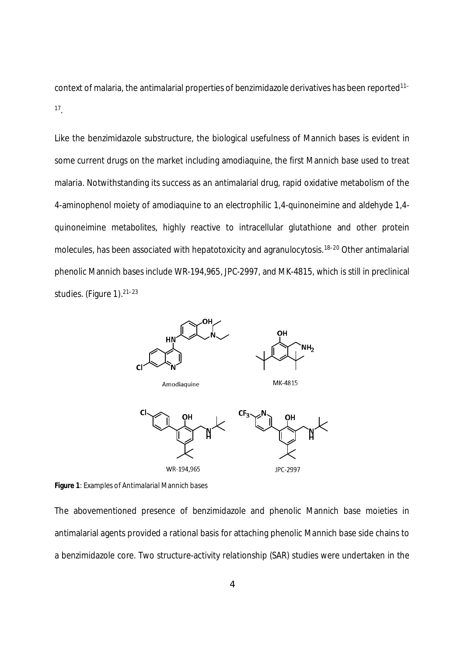context of malaria, the antimalarial properties of benzimidazole derivatives has been reported<sup>11-</sup> 17 .

Like the benzimidazole substructure, the biological usefulness of Mannich bases is evident in some current drugs on the market including amodiaquine, the first Mannich base used to treat malaria. Notwithstanding its success as an antimalarial drug, rapid oxidative metabolism of the 4-aminophenol moiety of amodiaquine to an electrophilic 1,4-quinoneimine and aldehyde 1,4 quinoneimine metabolites, highly reactive to intracellular glutathione and other protein molecules, has been associated with hepatotoxicity and agranulocytosis.<sup>18–20</sup> Other antimalarial phenolic Mannich bases include WR-194,965, JPC-2997, and MK-4815, which is still in preclinical studies. (Figure 1).<sup>21-23</sup>



**Figure 1**: Examples of Antimalarial Mannich bases

The abovementioned presence of benzimidazole and phenolic Mannich base moieties in antimalarial agents provided a rational basis for attaching phenolic Mannich base side chains to a benzimidazole core. Two structure-activity relationship (SAR) studies were undertaken in the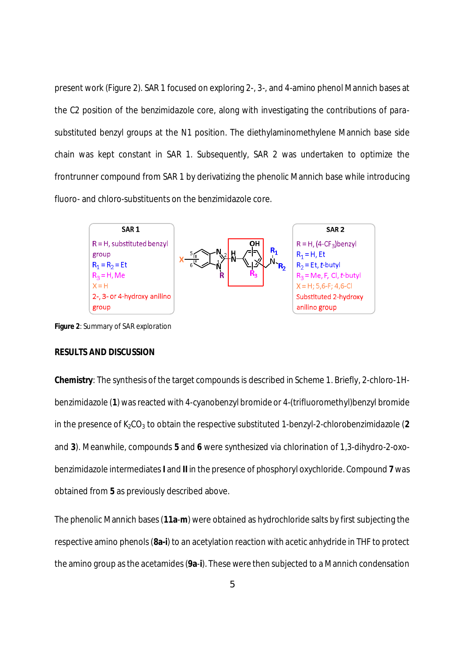present work (Figure 2). SAR 1 focused on exploring 2-, 3-, and 4-amino phenol Mannich bases at the C2 position of the benzimidazole core, along with investigating the contributions of *para*substituted benzyl groups at the *N*1 position. The diethylaminomethylene Mannich base side chain was kept constant in SAR 1. Subsequently, SAR 2 was undertaken to optimize the frontrunner compound from SAR 1 by derivatizing the phenolic Mannich base while introducing fluoro- and chloro-substituents on the benzimidazole core.



**Figure 2**: Summary of SAR exploration

# **RESULTS AND DISCUSSION**

**Chemistry**: The synthesis of the target compounds is described in Scheme 1. Briefly, 2-chloro-1*H*benzimidazole (**1**) was reacted with 4-cyanobenzyl bromide or 4-(trifluoromethyl)benzyl bromide in the presence of K<sub>2</sub>CO<sub>3</sub> to obtain the respective substituted 1-benzyl-2-chlorobenzimidazole (2 and **3**). Meanwhile, compounds **5** and **6** were synthesized *via* chlorination of 1,3-dihydro-2-oxobenzimidazole intermediates **I** and **II** in the presence of phosphoryl oxychloride. Compound **7** was obtained from **5** as previously described above.

The phenolic Mannich bases (**11a**-**m**) were obtained as hydrochloride salts by first subjecting the respective amino phenols (**8a-i**) to an acetylation reaction with acetic anhydride in THF to protect the amino group as the acetamides (**9a**-**i**). These were then subjected to a Mannich condensation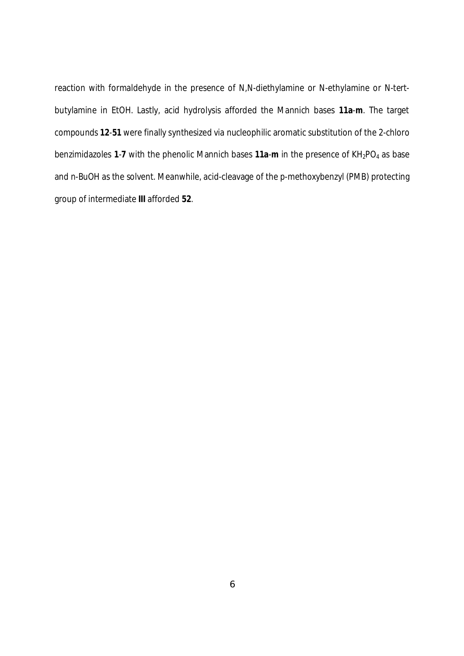reaction with formaldehyde in the presence of *N*,*N*-diethylamine or *N*-ethylamine or *N*-*tert*butylamine in EtOH. Lastly, acid hydrolysis afforded the Mannich bases **11a**-**m**. The target compounds **12**-**51** were finally synthesized *via* nucleophilic aromatic substitution of the 2-chloro benzimidazoles 1-7 with the phenolic Mannich bases 11a-m in the presence of KH<sub>2</sub>PO<sub>4</sub> as base and *n*-BuOH as the solvent. Meanwhile, acid-cleavage of the *p*-methoxybenzyl (PMB) protecting group of intermediate **III** afforded **52**.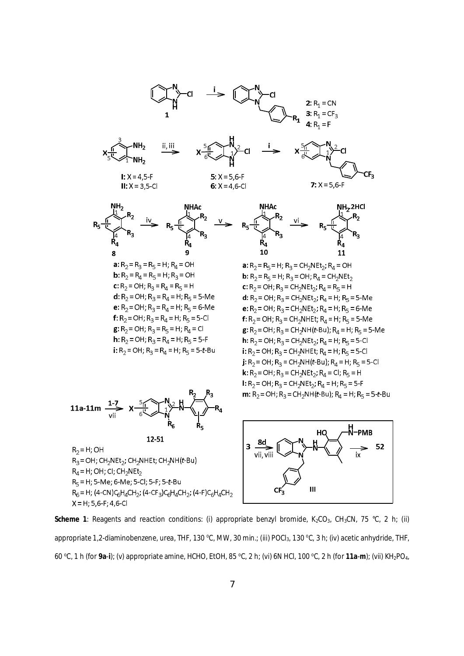

Scheme 1: Reagents and reaction conditions: (i) appropriate benzyl bromide, K<sub>2</sub>CO<sub>3</sub>, CH<sub>3</sub>CN, 75 °C, 2 h; (ii) appropriate 1,2-diaminobenzene, urea, THF, 130 °C, MW, 30 min.; (iii) POCl<sub>3</sub>, 130 °C, 3 h; (iv) acetic anhydride, THF, 60 <sup>o</sup>C, 1 h (for **9a**-**i**); (v) appropriate amine, HCHO, EtOH, 85 <sup>o</sup>C, 2 h; (vi) 6N HCl, 100 <sup>o</sup>C, 2 h (for **11a**-**m**); (vii) KH2PO4,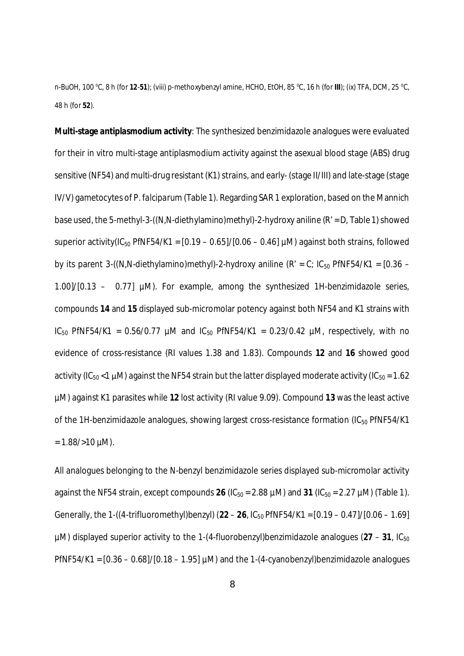*n*-BuOH, 100 <sup>o</sup>C, 8 h (for **12**-**51**); (viii) *p*-methoxybenzyl amine, HCHO, EtOH, 85 <sup>o</sup>C, 16 h (for **III**); (ix) TFA, DCM, 25 <sup>o</sup>C, 48 h (for **52**).

**Multi-stage antiplasmodium activity**: The synthesized benzimidazole analogues were evaluated for their *in vitro* multi-stage antiplasmodium activity against the asexual blood stage (ABS) drug sensitive (NF54) and multi-drug resistant (K1) strains, and early- (stage II/III) and late-stage (stage IV/V) gametocytes of *P. falciparum* (Table 1). Regarding SAR 1 exploration, based on the Mannich base used, the 5-methyl-3-((*N*,*N*-diethylamino)methyl)-2-hydroxy aniline (R' = D, Table 1) showed superior activity( $IC_{50}$  *Pf*NF54/K1 =  $[0.19 - 0.65]/[0.06 - 0.46]$  µM) against both strains, followed by its parent 3-((*N*,*N*-diethylamino)methyl)-2-hydroxy aniline (R' = C; IC<sub>50</sub> *PfNF*54/K1 = [0.36 – 1.00]/[0.13 – 0.77] µM). For example, among the synthesized 1*H*-benzimidazole series, compounds **14** and **15** displayed sub-micromolar potency against both NF54 and K1 strains with IC<sub>50</sub> *Pf*NF54/K1 = 0.56/0.77  $\mu$ M and IC<sub>50</sub> *PfNF54/K1* = 0.23/0.42  $\mu$ M, respectively, with no evidence of cross-resistance (RI values 1.38 and 1.83). Compounds **12** and **16** showed good activity (IC<sub>50</sub> <1  $\mu$ M) against the NF54 strain but the latter displayed moderate activity (IC<sub>50</sub> = 1.62 µM) against K1 parasites while **12** lost activity (RI value 9.09). Compound **13** was the least active of the 1H-benzimidazole analogues, showing largest cross-resistance formation (IC<sub>50</sub> PfNF54/K1  $= 1.88 / > 10 \mu M$ ).

All analogues belonging to the *N*-benzyl benzimidazole series displayed sub-micromolar activity against the NF54 strain, except compounds 26 ( $IC_{50} = 2.88 \mu M$ ) and 31 ( $IC_{50} = 2.27 \mu M$ ) (Table 1). Generally, the 1-((4-trifluoromethyl)benzyl) (22 – 26, IC<sub>50</sub> PfNF54/K1 = [0.19 – 0.47]/[0.06 – 1.69]  $\mu$ M) displayed superior activity to the 1-(4-fluorobenzyl)benzimidazole analogues (27 – 31, IC<sub>50</sub>) *Pf*NF54/K1 = [0.36 – 0.68]/[0.18 – 1.95] µM) and the 1-(4-cyanobenzyl)benzimidazole analogues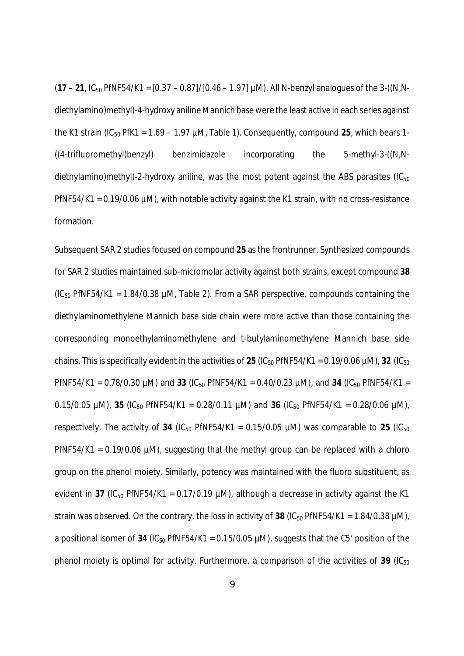(**17** – **21**, IC<sup>50</sup> *Pf*NF54/K1 = [0.37 – 0.87]/[0.46 – 1.97] µM). All *N*-benzyl analogues of the 3-((*N*,*N*diethylamino)methyl)-4-hydroxy aniline Mannich base were the least active in each series against the K1 strain (IC<sup>50</sup> *Pf*K1 = 1.69 – 1.97 µM, Table 1). Consequently, compound **25**, which bears 1- ((4-trifluoromethyl)benzyl) benzimidazole incorporating the 5-methyl-3-((*N*,*N*diethylamino)methyl)-2-hydroxy aniline, was the most potent against the ABS parasites ( $IC_{50}$ *PfNF54/K1* = 0.19/0.06 µM), with notable activity against the K1 strain, with no cross-resistance formation.

Subsequent SAR 2 studies focused on compound **25** as the frontrunner. Synthesized compounds for SAR 2 studies maintained sub-micromolar activity against both strains, except compound **38** (IC<sup>50</sup> *Pf*NF54/K1 = 1.84/0.38 µM, Table 2). From a SAR perspective, compounds containing the diethylaminomethylene Mannich base side chain were more active than those containing the corresponding monoethylaminomethylene and *t*-butylaminomethylene Mannich base side chains. This is specifically evident in the activities of 25 (IC<sub>50</sub> *PfNF54/K1* = 0.19/0.06  $\mu$ M), 32 (IC<sub>50</sub>) *Pf*NF54/K1 = 0.78/0.30 µM) and **33** (IC<sup>50</sup> *Pf*NF54/K1 = 0.40/0.23 µM), and **34** (IC<sup>50</sup> *Pf*NF54/K1 = 0.15/0.05 µM), **35** (IC<sup>50</sup> *Pf*NF54/K1 = 0.28/0.11 µM) and **36** (IC<sup>50</sup> *Pf*NF54/K1 = 0.28/0.06 µM), respectively. The activity of 34 (IC<sub>50</sub> *PfNF54/K1* = 0.15/0.05  $\mu$ M) was comparable to 25 (IC<sub>50</sub>) *PfNF54/K1* = 0.19/0.06  $\mu$ M), suggesting that the methyl group can be replaced with a chloro group on the phenol moiety. Similarly, potency was maintained with the fluoro substituent, as evident in 37 (IC<sub>50</sub> PfNF54/K1 = 0.17/0.19  $\mu$ M), although a decrease in activity against the K1 strain was observed. On the contrary, the loss in activity of 38 (IC<sub>50</sub>  $PMF54/K1 = 1.84/0.38 \mu M$ ), a positional isomer of 34 (IC<sub>50</sub> PfNF54/K1 = 0.15/0.05 µM), suggests that the C5' position of the phenol moiety is optimal for activity. Furthermore, a comparison of the activities of 39 (IC<sub>50</sub>)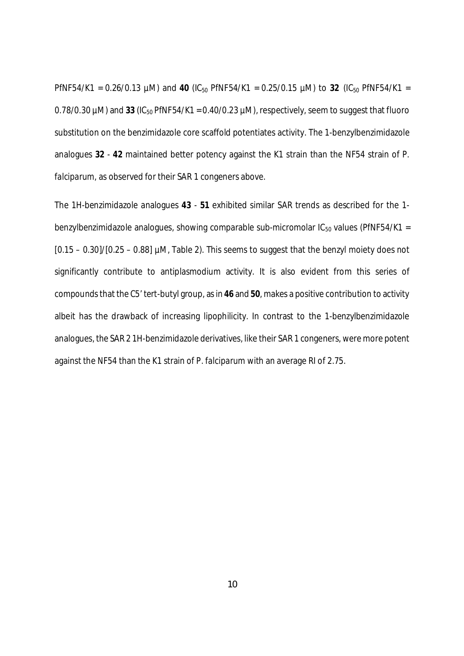*Pf*NF54/K1 = 0.26/0.13 µM) and 40 (IC<sub>50</sub> *PfNF54/K1* = 0.25/0.15 µM) to 32 (IC<sub>50</sub> *PfNF54/K1* = 0.78/0.30 µM) and **33** (IC<sup>50</sup> *Pf*NF54/K1 = 0.40/0.23 µM), respectively, seem to suggest that fluoro substitution on the benzimidazole core scaffold potentiates activity. The 1-benzylbenzimidazole analogues **32** - **42** maintained better potency against the K1 strain than the NF54 strain of *P. falciparum*, as observed for their SAR 1 congeners above.

The 1*H*-benzimidazole analogues **43** - **51** exhibited similar SAR trends as described for the 1 benzylbenzimidazole analogues, showing comparable sub-micromolar IC<sub>50</sub> values (*PfNF54/K1* =  $[0.15 - 0.30]/[0.25 - 0.88]$  µM, Table 2). This seems to suggest that the benzyl moiety does not significantly contribute to antiplasmodium activity. It is also evident from this series of compounds that the C5' *tert*-butyl group, as in **46** and **50**, makes a positive contribution to activity albeit has the drawback of increasing lipophilicity. In contrast to the 1-benzylbenzimidazole analogues, the SAR 2 1*H*-benzimidazole derivatives, like their SAR 1 congeners, were more potent against the NF54 than the K1 strain of *P. falciparum* with an average RI of 2.75.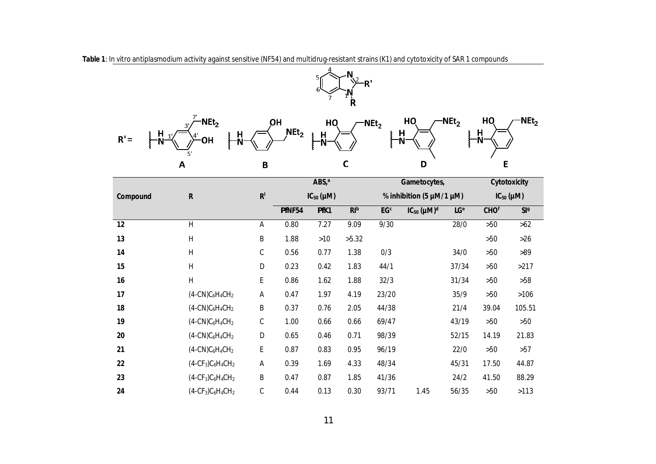



|          |                                                        |                           |        | ABB <sub>i</sub> <sup>a</sup> |                 |                 | Gametocytes,                    |                 |                         | Cytotoxicity     |
|----------|--------------------------------------------------------|---------------------------|--------|-------------------------------|-----------------|-----------------|---------------------------------|-----------------|-------------------------|------------------|
| Compound | ${\sf R}$                                              | $\mathsf{R}^{\mathsf{I}}$ |        | $IC_{50}(\mu M)$              |                 |                 | % inhibition (5 µM/1 µM)        |                 |                         | $IC_{50}(\mu M)$ |
|          |                                                        |                           | PfNF54 | PfK1                          | RI <sup>b</sup> | EG <sup>c</sup> | $IC_{50}$ ( $µM$ ) <sup>d</sup> | LG <sup>e</sup> | <b>CHO</b> <sup>f</sup> | S <sup>g</sup>   |
| 12       | $\overline{H}$                                         | Α                         | 0.80   | 7.27                          | 9.09            | 9/30            |                                 | 28/0            | $>50$                   | $>62$            |
| 13       | Η                                                      | B                         | 1.88   | $>10$                         | >5.32           |                 |                                 |                 | $>50$                   | $>26$            |
| 14       | H                                                      | С                         | 0.56   | 0.77                          | 1.38            | 0/3             |                                 | 34/0            | $>50$                   | $>89$            |
| 15       | $\overline{H}$                                         | D                         | 0.23   | 0.42                          | 1.83            | 44/1            |                                 | 37/34           | $>50$                   | >217             |
| 16       | $\overline{H}$                                         | E                         | 0.86   | 1.62                          | 1.88            | 32/3            |                                 | 31/34           | >50                     | $>58$            |
| 17       | $(4-CN)C_6H_4CH_2$                                     | A                         | 0.47   | 1.97                          | 4.19            | 23/20           |                                 | 35/9            | $>50$                   | $>106$           |
| 18       | $(4-CN)C_6H_4CH_2$                                     | B                         | 0.37   | 0.76                          | 2.05            | 44/38           |                                 | 21/4            | 39.04                   | 105.51           |
| 19       | $(4$ -CN)C <sub>6</sub> H <sub>4</sub> CH <sub>2</sub> | С                         | 1.00   | 0.66                          | 0.66            | 69/47           |                                 | 43/19           | >50                     | $>50$            |
| 20       | $(4-CN)C_6H_4CH_2$                                     | D                         | 0.65   | 0.46                          | 0.71            | 98/39           |                                 | 52/15           | 14.19                   | 21.83            |
| 21       | $(4$ -CN $)C_6H_4CH_2$                                 | E                         | 0.87   | 0.83                          | 0.95            | 96/19           |                                 | 22/0            | $>50$                   | >57              |
| 22       | $(4-CF3)C6H4CH2$                                       | A                         | 0.39   | 1.69                          | 4.33            | 48/34           |                                 | 45/31           | 17.50                   | 44.87            |
| 23       | $(4-CF3)C6H4CH2$                                       | B                         | 0.47   | 0.87                          | 1.85            | 41/36           |                                 | 24/2            | 41.50                   | 88.29            |
| 24       | $(4-CF3)C6H4CH2$                                       | C                         | 0.44   | 0.13                          | 0.30            | 93/71           | 1.45                            | 56/35           | >50                     | >113             |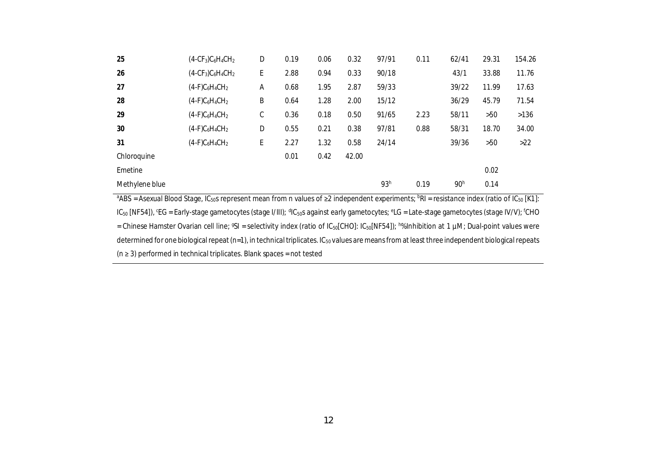| 25             | $(4-CF3)C6H4CH2$  | D | 0.19 | 0.06 | 0.32  | 97/91           | 0.11 | 62/41           | 29.31 | 154.26 |
|----------------|-------------------|---|------|------|-------|-----------------|------|-----------------|-------|--------|
| 26             | $(4-CF3)C6H4CH2$  | E | 2.88 | 0.94 | 0.33  | 90/18           |      | 43/1            | 33.88 | 11.76  |
| 27             | $(4-F)C_6H_4CH_2$ | Α | 0.68 | 1.95 | 2.87  | 59/33           |      | 39/22           | 11.99 | 17.63  |
| 28             | $(4-F)C_6H_4CH_2$ | B | 0.64 | 1.28 | 2.00  | 15/12           |      | 36/29           | 45.79 | 71.54  |
| 29             | $(4-F)C_6H_4CH_2$ | C | 0.36 | 0.18 | 0.50  | 91/65           | 2.23 | 58/11           | >50   | $>136$ |
| 30             | $(4-F)C_6H_4CH_2$ | D | 0.55 | 0.21 | 0.38  | 97/81           | 0.88 | 58/31           | 18.70 | 34.00  |
| 31             | $(4-F)C_6H_4CH_2$ | E | 2.27 | 1.32 | 0.58  | 24/14           |      | 39/36           | >50   | $>22$  |
| Chloroquine    |                   |   | 0.01 | 0.42 | 42.00 |                 |      |                 |       |        |
| Emetine        |                   |   |      |      |       |                 |      |                 | 0.02  |        |
| Methylene blue |                   |   |      |      |       | 93 <sup>h</sup> | 0.19 | 90 <sup>h</sup> | 0.14  |        |

<sup>a</sup>ABS = Asexual Blood Stage, IC<sub>50</sub>s represent mean from n values of  $\geq 2$  independent experiments; <sup>b</sup>RI = resistance index (ratio of IC<sub>50</sub> [K1]: IC<sub>50</sub> [NF54]), <sup>c</sup>EG = Early-stage gametocytes (stage I/III); dC<sub>50</sub>s against early gametocytes; <sup>e</sup>LG = Late-stage gametocytes (stage IV/V); <sup>r</sup>CHO = Chinese Hamster Ovarian cell line; <sup>g</sup>SI = selectivity index (ratio of IC<sub>50</sub>[CHO]: IC<sub>50</sub>[NF54]); h%Inhibition at 1 μM; Dual-point values were determined for one biological repeat (n=1), in technical triplicates. IC<sub>50</sub> values are means from at least three independent biological repeats  $(n \geq 3)$  performed in technical triplicates. Blank spaces = not tested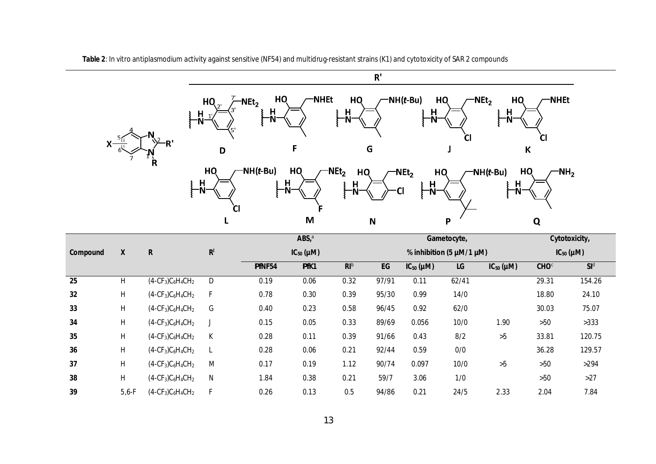

**Table 2**: *In vitro* antiplasmodium activity against sensitive (NF54) and multidrug-resistant strains (K1) and cytotoxicity of SAR 2 compounds

|          |           |                      |                |        | ABB <sub>i</sub> <sup>a</sup> |                 |       |                                  | Gametocyte, |                  |                  | Cytotoxicity,    |
|----------|-----------|----------------------|----------------|--------|-------------------------------|-----------------|-------|----------------------------------|-------------|------------------|------------------|------------------|
| Compound | X         | $\mathsf{R}$         | R <sup>1</sup> |        | $IC_{50}(\mu M)$              |                 |       | % inhibition $(5 \mu M/1 \mu M)$ |             |                  |                  | $IC_{50}(\mu M)$ |
|          |           |                      |                | PfNF54 | PfK1                          | RI <sup>b</sup> | EG    | $IC_{50}(\mu M)$                 | LG          | $IC_{50}(\mu M)$ | CHO <sup>c</sup> | SI <sup>d</sup>  |
| 25       | H.        | $(4-CF3)C6H4CH2$     | D              | 0.19   | 0.06                          | 0.32            | 97/91 | 0.11                             | 62/41       |                  | 29.31            | 154.26           |
| 32       | H.        | $(4-CF3)C6H4CH2$     | -F             | 0.78   | 0.30                          | 0.39            | 95/30 | 0.99                             | 14/0        |                  | 18.80            | 24.10            |
| 33       | H         | $(4-CF3)C6H4CH2$     | G              | 0.40   | 0.23                          | 0.58            | 96/45 | 0.92                             | 62/0        |                  | 30.03            | 75.07            |
| 34       | H.        | $(4-CF3)C6H4CH2$     |                | 0.15   | 0.05                          | 0.33            | 89/69 | 0.056                            | 10/0        | 1.90             | >50              | >333             |
| 35       | H         | $(4-CF3)C6H4CH2$     | K              | 0.28   | 0.11                          | 0.39            | 91/66 | 0.43                             | 8/2         | $>5$             | 33.81            | 120.75           |
| 36       | H.        | $(4-CF3)C6H4CH2$     |                | 0.28   | 0.06                          | 0.21            | 92/44 | 0.59                             | 0/0         |                  | 36.28            | 129.57           |
| 37       | H.        | $(4-CF_3)C_6H_4CH_2$ | M              | 0.17   | 0.19                          | 1.12            | 90/74 | 0.097                            | 10/0        | $>5$             | $>50$            | >294             |
| 38       | H.        | $(4-CF3)C6H4CH2$     | N              | 1.84   | 0.38                          | 0.21            | 59/7  | 3.06                             | 1/0         |                  | $>50$            | $>27$            |
| 39       | $5,6 - F$ | $(4-CF3)C6H4CH2$     | F              | 0.26   | 0.13                          | 0.5             | 94/86 | 0.21                             | 24/5        | 2.33             | 2.04             | 7.84             |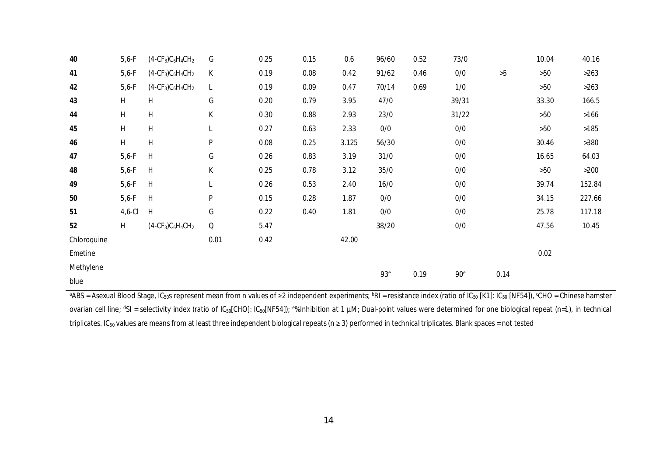| 40          | $5,6-F$    | $(4-CF3)C6H4CH2$ | G    | 0.25 | 0.15 | 0.6   | 96/60           | 0.52 | 73/0            |      | 10.04 | 40.16  |
|-------------|------------|------------------|------|------|------|-------|-----------------|------|-----------------|------|-------|--------|
| 41          | $5, 6 - F$ | $(4-CF3)C6H4CH2$ | К    | 0.19 | 0.08 | 0.42  | 91/62           | 0.46 | 0/0             | $>5$ | $>50$ | $>263$ |
| 42          | $5, 6 - F$ | $(4-CF3)C6H4CH2$ | L    | 0.19 | 0.09 | 0.47  | 70/14           | 0.69 | 1/0             |      | $>50$ | $>263$ |
| 43          | H          | H                | G    | 0.20 | 0.79 | 3.95  | 47/0            |      | 39/31           |      | 33.30 | 166.5  |
| 44          | H          | H                | K    | 0.30 | 0.88 | 2.93  | 23/0            |      | 31/22           |      | $>50$ | $>166$ |
| 45          | H          | H                | L.   | 0.27 | 0.63 | 2.33  | 0/0             |      | 0/0             |      | $>50$ | >185   |
| 46          | H          | H                | P    | 0.08 | 0.25 | 3.125 | 56/30           |      | 0/0             |      | 30.46 | $>380$ |
| 47          | $5,6-F$    | H                | G    | 0.26 | 0.83 | 3.19  | 31/0            |      | 0/0             |      | 16.65 | 64.03  |
| 48          | $5,6-F$    | H                | K    | 0.25 | 0.78 | 3.12  | 35/0            |      | 0/0             |      | $>50$ | $>200$ |
| 49          | $5,6 - F$  | H                | L    | 0.26 | 0.53 | 2.40  | 16/0            |      | 0/0             |      | 39.74 | 152.84 |
| 50          | $5,6 - F$  | H                | P    | 0.15 | 0.28 | 1.87  | 0/0             |      | 0/0             |      | 34.15 | 227.66 |
| 51          | $4,6-CI$   | H                | G    | 0.22 | 0.40 | 1.81  | 0/0             |      | 0/0             |      | 25.78 | 117.18 |
| 52          | H.         | $(4-CF3)C6H4CH2$ | Q    | 5.47 |      |       | 38/20           |      | 0/0             |      | 47.56 | 10.45  |
| Chloroquine |            |                  | 0.01 | 0.42 |      | 42.00 |                 |      |                 |      |       |        |
| Emetine     |            |                  |      |      |      |       |                 |      |                 |      | 0.02  |        |
| Methylene   |            |                  |      |      |      |       |                 |      |                 |      |       |        |
| blue        |            |                  |      |      |      |       | 93 <sup>e</sup> | 0.19 | 90 <sup>e</sup> | 0.14 |       |        |

<sup>a</sup>ABS = Asexual Blood Stage, IC<sub>50</sub>s represent mean from n values of  $\geq$ 2 independent experiments; <sup>b</sup>RI = resistance index (ratio of IC<sub>50</sub> [K1]: IC<sub>50</sub> [NF54]), <sup>c</sup>CHO = Chinese hamster ovarian cell line; <sup>d</sup>SI = selectivity index (ratio of IC<sub>50</sub>[CHO]: IC<sub>50</sub>[NF54]); <sup>e%</sup>Inhibition at 1 µM; Dual-point values were determined for one biological repeat (n=1), in technical triplicates. IC<sub>50</sub> values are means from at least three independent biological repeats (n  $\geq$  3) performed in technical triplicates. Blank spaces = not tested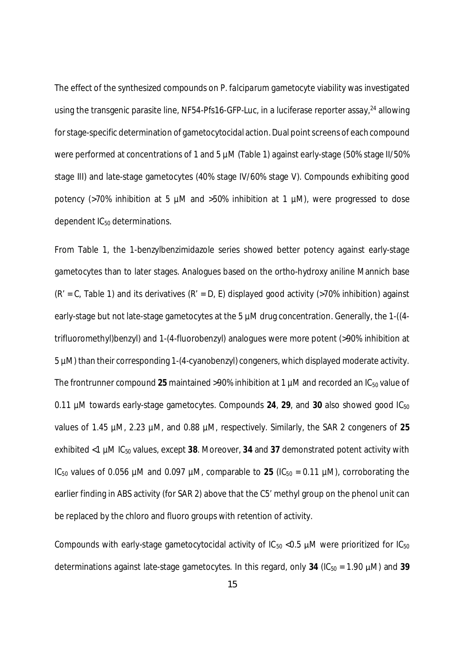The effect of the synthesized compounds on *P. falciparum* gametocyte viability was investigated using the transgenic parasite line, NF54-Pfs16-GFP-Luc, in a luciferase reporter assay,<sup>24</sup> allowing for stage-specific determination of gametocytocidal action. Dual point screens of each compound were performed at concentrations of 1 and 5  $\mu$ M (Table 1) against early-stage (50% stage II/50% stage III) and late-stage gametocytes (40% stage IV/60% stage V). Compounds exhibiting good potency (>70% inhibition at 5 µM and >50% inhibition at 1 µM), were progressed to dose dependent  $IC_{50}$  determinations.

From Table 1, the 1-benzylbenzimidazole series showed better potency against early-stage gametocytes than to later stages. Analogues based on the *ortho*-hydroxy aniline Mannich base  $(R' = C,$  Table 1) and its derivatives  $(R' = D, E)$  displayed good activity (>70% inhibition) against early-stage but not late-stage gametocytes at the 5  $\mu$ M drug concentration. Generally, the 1-((4trifluoromethyl)benzyl) and 1-(4-fluorobenzyl) analogues were more potent (>90% inhibition at 5 µM) than their corresponding 1-(4-cyanobenzyl) congeners, which displayed moderate activity. The frontrunner compound 25 maintained >90% inhibition at 1 µM and recorded an IC<sub>50</sub> value of 0.11 µM towards early-stage gametocytes. Compounds **24**, **29**, and **30** also showed good IC<sup>50</sup> values of 1.45 µM, 2.23 µM, and 0.88 µM, respectively. Similarly, the SAR 2 congeners of **25** exhibited <1  $\mu$ M IC<sub>50</sub> values, except 38. Moreover, 34 and 37 demonstrated potent activity with IC<sub>50</sub> values of 0.056  $\mu$ M and 0.097  $\mu$ M, comparable to 25 (IC<sub>50</sub> = 0.11  $\mu$ M), corroborating the earlier finding in ABS activity (for SAR 2) above that the C5' methyl group on the phenol unit can be replaced by the chloro and fluoro groups with retention of activity.

Compounds with early-stage gametocytocidal activity of IC $_{50}$  <0.5  $\mu$ M were prioritized for IC $_{50}$ determinations against late-stage gametocytes. In this regard, only 34 ( $IC_{50} = 1.90 \mu M$ ) and 39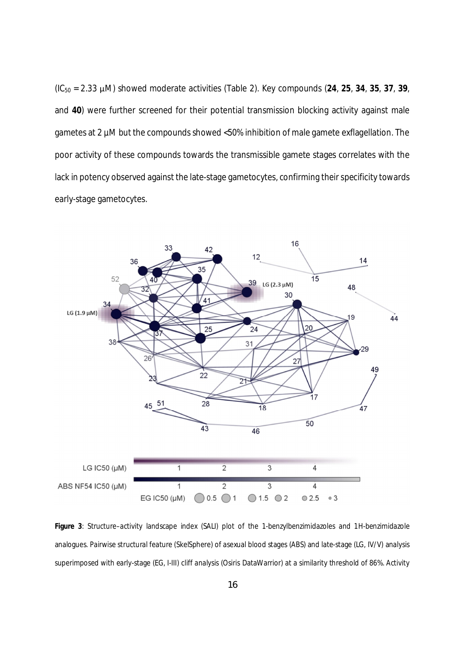(IC50 = 2.33 ʅM) showed moderate activities (Table 2). Key compounds (**24**, **25**, **34**, **35**, **37**, **39**, and **40**) were further screened for their potential transmission blocking activity against male gametes at 2 µM but the compounds showed <50% inhibition of male gamete exflagellation. The poor activity of these compounds towards the transmissible gamete stages correlates with the lack in potency observed against the late-stage gametocytes, confirming their specificity towards early-stage gametocytes.



**Figure 3**: Structure–activity landscape index (SALI) plot of the 1-benzylbenzimidazoles and 1*H*-benzimidazole analogues. Pairwise structural feature (SkelSphere) of asexual blood stages (ABS) and late-stage (LG, IV/V) analysis superimposed with early-stage (EG, I-III) cliff analysis (Osiris DataWarrior) at a similarity threshold of 86%. Activity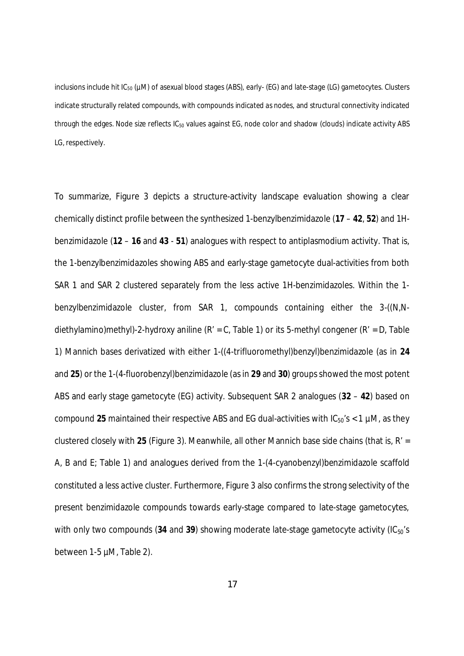inclusions include hit  $IC_{50}$  ( $µM$ ) of asexual blood stages (ABS), early- (EG) and late-stage (LG) gametocytes. Clusters indicate structurally related compounds, with compounds indicated as nodes, and structural connectivity indicated through the edges. Node size reflects IC<sub>50</sub> values against EG, node color and shadow (clouds) indicate activity ABS LG, respectively.

To summarize, Figure 3 depicts a structure-activity landscape evaluation showing a clear chemically distinct profile between the synthesized 1-benzylbenzimidazole (**17** – **42**, **52**) and 1*H*benzimidazole (**12** – **16** and **43** - **51**) analogues with respect to antiplasmodium activity. That is, the 1-benzylbenzimidazoles showing ABS and early-stage gametocyte dual-activities from both SAR 1 and SAR 2 clustered separately from the less active 1*H*-benzimidazoles. Within the 1 benzylbenzimidazole cluster, from SAR 1, compounds containing either the 3-((*N*,*N*diethylamino)methyl)-2-hydroxy aniline  $(R' = C, Table 1)$  or its 5-methyl congener  $(R' = D, Table 1)$ 1) Mannich bases derivatized with either 1-((4-trifluoromethyl)benzyl)benzimidazole (as in **24** and **25**) or the 1-(4-fluorobenzyl)benzimidazole (as in **29** and **30**) groups showed the most potent ABS and early stage gametocyte (EG) activity. Subsequent SAR 2 analogues (**32** – **42**) based on compound 25 maintained their respective ABS and EG dual-activities with  $IC_{50}$ 's < 1  $\mu$ M, as they clustered closely with **25** (Figure 3). Meanwhile, all other Mannich base side chains (that is, R' = A, B and E; Table 1) and analogues derived from the 1-(4-cyanobenzyl)benzimidazole scaffold constituted a less active cluster. Furthermore, Figure 3 also confirms the strong selectivity of the present benzimidazole compounds towards early-stage compared to late-stage gametocytes, with only two compounds (34 and 39) showing moderate late-stage gametocyte activity (IC<sub>50</sub>'s between 1-5 µM, Table 2).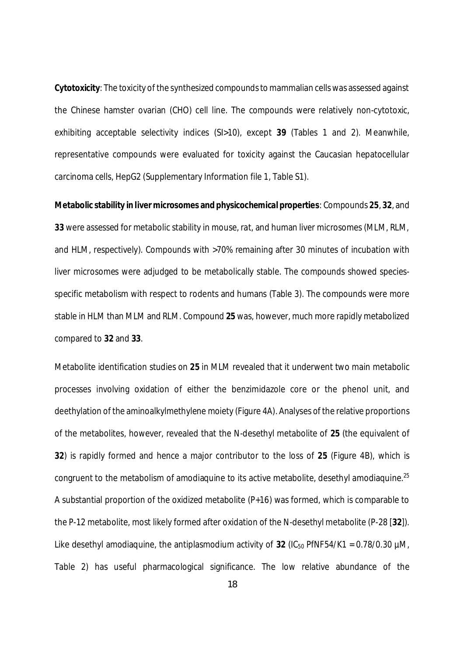**Cytotoxicity**: The toxicity of the synthesized compounds to mammalian cells was assessed against the Chinese hamster ovarian (CHO) cell line. The compounds were relatively non-cytotoxic, exhibiting acceptable selectivity indices (SI>10), except **39** (Tables 1 and 2). Meanwhile, representative compounds were evaluated for toxicity against the Caucasian hepatocellular carcinoma cells, HepG2 (Supplementary Information file 1, Table S1).

**Metabolic stability in liver microsomes and physicochemical properties**: Compounds **25**, **32**, and **33** were assessed for metabolic stability in mouse, rat, and human liver microsomes (MLM, RLM, and HLM, respectively). Compounds with >70% remaining after 30 minutes of incubation with liver microsomes were adjudged to be metabolically stable. The compounds showed speciesspecific metabolism with respect to rodents and humans (Table 3). The compounds were more stable in HLM than MLM and RLM. Compound **25** was, however, much more rapidly metabolized compared to **32** and **33**.

Metabolite identification studies on **25** in MLM revealed that it underwent two main metabolic processes involving oxidation of either the benzimidazole core or the phenol unit, and deethylation of the aminoalkylmethylene moiety (Figure 4A). Analyses of the relative proportions of the metabolites, however, revealed that the *N*-desethyl metabolite of **25** (the equivalent of **32**) is rapidly formed and hence a major contributor to the loss of **25** (Figure 4B), which is congruent to the metabolism of amodiaquine to its active metabolite, desethyl amodiaquine.<sup>25</sup> A substantial proportion of the oxidized metabolite (P+16) was formed, which is comparable to the P-12 metabolite, most likely formed after oxidation of the *N*-desethyl metabolite (P-28 [**32**]). Like desethyl amodiaquine, the antiplasmodium activity of 32 (IC<sub>50</sub> *PfNF54/K1* = 0.78/0.30  $\mu$ M, Table 2) has useful pharmacological significance. The low relative abundance of the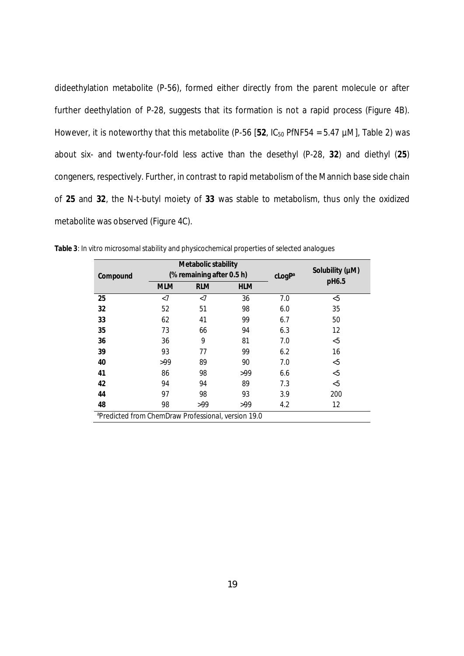dideethylation metabolite (P-56), formed either directly from the parent molecule or after further deethylation of P-28, suggests that its formation is not a rapid process (Figure 4B). However, it is noteworthy that this metabolite (P-56 [52, IC<sub>50</sub> PfNF54 = 5.47 µM], Table 2) was about six- and twenty-four-fold less active than the desethyl (P-28, **32**) and diethyl (**25**) congeners, respectively. Further, in contrast to rapid metabolism of the Mannich base side chain of **25** and **32**, the *N*-*t*-butyl moiety of **33** was stable to metabolism, thus only the oxidized metabolite was observed (Figure 4C).

|                                                                 |            | Metabolic stability       |     |                       |                 |  |
|-----------------------------------------------------------------|------------|---------------------------|-----|-----------------------|-----------------|--|
| Compound                                                        |            | (% remaining after 0.5 h) |     | $c$ LogP <sup>a</sup> | Solubility (µM) |  |
|                                                                 | <b>MLM</b> | <b>RLM</b><br><b>HLM</b>  |     |                       | pH6.5           |  |
| 25                                                              | $<$ 7      | $<$ 7                     | 36  | 7.0                   | $5$             |  |
| 32                                                              | 52         | 51                        | 98  | 6.0                   | 35              |  |
| 33                                                              | 62         | 41                        | 99  | 6.7                   | 50              |  |
| 35                                                              | 73         | 66                        | 94  | 6.3                   | 12              |  |
| 36                                                              | 36         | 9                         | 81  | 7.0                   | $<$ 5           |  |
| 39                                                              | 93         | 77                        | 99  | 6.2                   | 16              |  |
| 40                                                              | >99        | 89                        | 90  | 7.0                   | &5              |  |
| 41                                                              | 86         | 98                        | >99 | 6.6                   | $<$ 5           |  |
| 42                                                              | 94         | 94                        | 89  | 7.3                   | $5$             |  |
| 44                                                              | 97         | 98                        | 93  | 3.9                   | 200             |  |
| 48                                                              | 98         | >99                       | >99 | 4.2                   | 12              |  |
| <sup>a</sup> Predicted from ChemDraw Professional, version 19.0 |            |                           |     |                       |                 |  |

**Table 3**: *In vitro* microsomal stability and physicochemical properties of selected analogues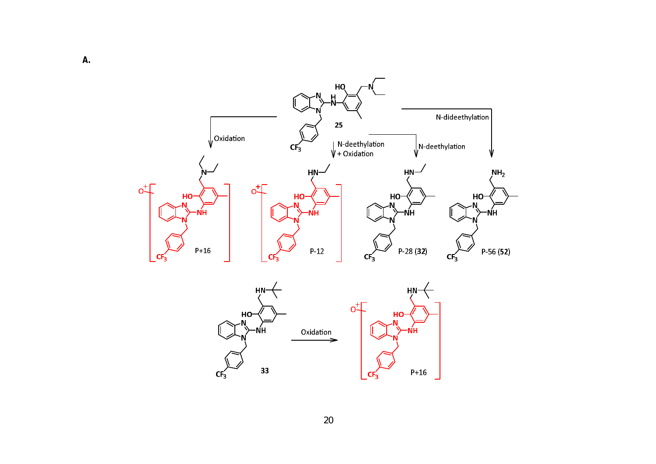



**A.**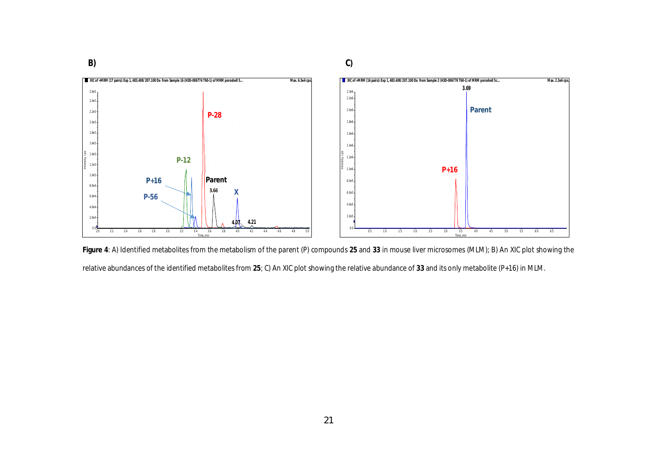

**Figure 4**: A) Identified metabolites from the metabolism of the parent (P) compounds **25** and **33** in mouse liver microsomes (MLM); B) An XIC plot showing the relative abundances of the identified metabolites from **25**; C) An XIC plot showing the relative abundance of **33** and its only metabolite (P+16) in MLM.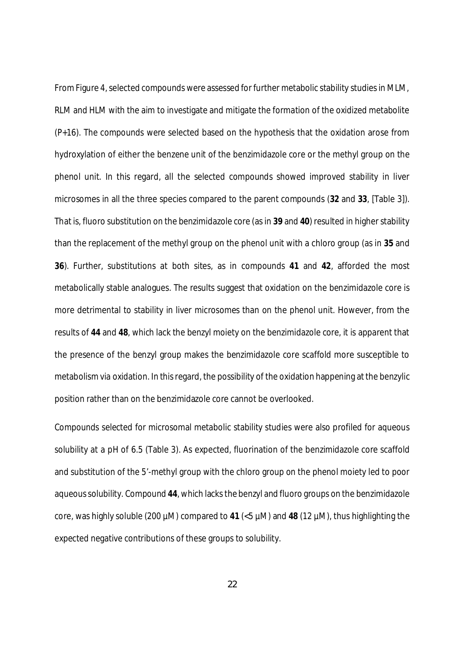From Figure 4, selected compounds were assessed for further metabolic stability studies in MLM, RLM and HLM with the aim to investigate and mitigate the formation of the oxidized metabolite (P+16). The compounds were selected based on the hypothesis that the oxidation arose from hydroxylation of either the benzene unit of the benzimidazole core or the methyl group on the phenol unit. In this regard, all the selected compounds showed improved stability in liver microsomes in all the three species compared to the parent compounds (**32** and **33**, [Table 3]). That is, fluoro substitution on the benzimidazole core (as in **39** and **40**) resulted in higher stability than the replacement of the methyl group on the phenol unit with a chloro group (as in **35** and **36**). Further, substitutions at both sites, as in compounds **41** and **42**, afforded the most metabolically stable analogues. The results suggest that oxidation on the benzimidazole core is more detrimental to stability in liver microsomes than on the phenol unit. However, from the results of **44** and **48**, which lack the benzyl moiety on the benzimidazole core, it is apparent that the presence of the benzyl group makes the benzimidazole core scaffold more susceptible to metabolism *via* oxidation. In this regard, the possibility of the oxidation happening at the benzylic position rather than on the benzimidazole core cannot be overlooked.

Compounds selected for microsomal metabolic stability studies were also profiled for aqueous solubility at a pH of 6.5 (Table 3). As expected, fluorination of the benzimidazole core scaffold and substitution of the 5'-methyl group with the chloro group on the phenol moiety led to poor aqueous solubility. Compound **44**, which lacks the benzyl and fluoro groups on the benzimidazole core, was highly soluble (200 µM) compared to **41** (<5 µM) and **48** (12 µM), thus highlighting the expected negative contributions of these groups to solubility.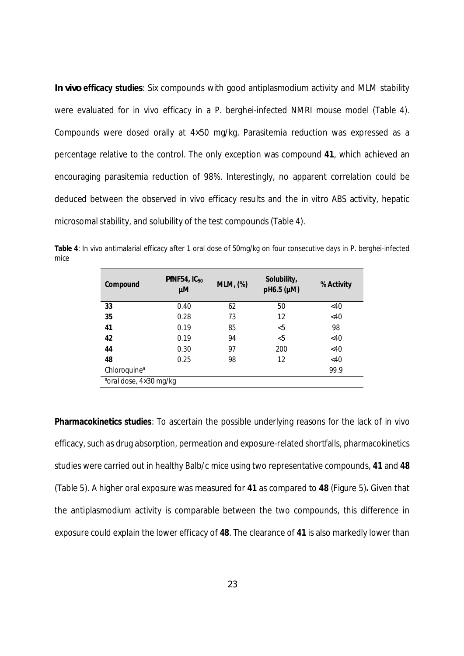*In vivo* **efficacy studies**: Six compounds with good antiplasmodium activity and MLM stability were evaluated for *in vivo* efficacy in a *P. berghei*-infected NMRI mouse model (Table 4). Compounds were dosed orally at 4×50 mg/kg. Parasitemia reduction was expressed as a percentage relative to the control. The only exception was compound **41**, which achieved an encouraging parasitemia reduction of 98%. Interestingly, no apparent correlation could be deduced between the observed *in vivo* efficacy results and the *in vitro* ABS activity, hepatic microsomal stability, and solubility of the test compounds (Table 4).

**Table 4**: *In vivo* antimalarial efficacy after 1 oral dose of 50mg/kg on four consecutive days in *P. berghei-*infected mice

| Compound                           | $PfNF54$ , IC <sub>50</sub><br>$\mu$ M | MLM, (%) | Solubility,<br>pH6.5 (µM) | % Activity |  |  |
|------------------------------------|----------------------------------------|----------|---------------------------|------------|--|--|
| 33                                 | 0.40                                   | 62       | 50                        | <40        |  |  |
| 35                                 | 0.28                                   | 73       | 12                        | <40        |  |  |
| 41                                 | 0.19                                   | 85       | < 5                       | 98         |  |  |
| 42                                 | 0.19                                   | 94       | < 5                       | <40        |  |  |
| 44                                 | 0.30                                   | 97       | 200                       | <40        |  |  |
| 48                                 | 0.25                                   | 98       | 12                        | <40        |  |  |
| Chloroquine <sup>a</sup>           |                                        |          |                           | 99.9       |  |  |
| <sup>a</sup> oral dose, 4×30 mg/kg |                                        |          |                           |            |  |  |

**Pharmacokinetics studies**: To ascertain the possible underlying reasons for the lack of *in vivo* efficacy, such as drug absorption, permeation and exposure-related shortfalls, pharmacokinetics studies were carried out in healthy Balb/c mice using two representative compounds, **41** and **48** (Table 5). A higher oral exposure was measured for **41** as compared to **48** (Figure 5)**.** Given that the antiplasmodium activity is comparable between the two compounds, this difference in exposure could explain the lower efficacy of **48**. The clearance of **41** is also markedly lower than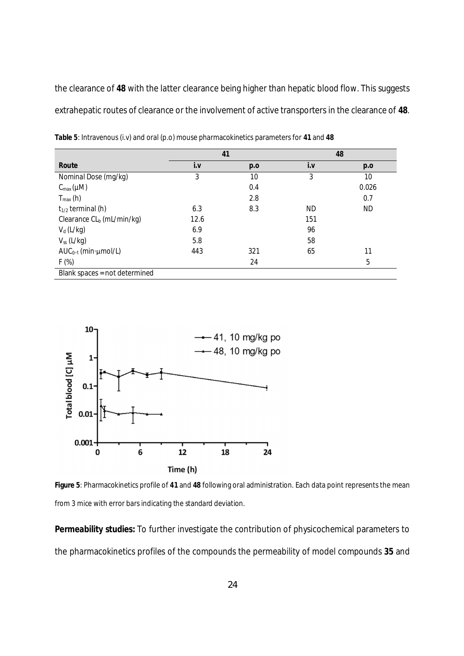the clearance of **48** with the latter clearance being higher than hepatic blood flow. This suggests extrahepatic routes of clearance or the involvement of active transporters in the clearance of **48**.

|                                       | 41   |     | 48        |       |  |  |
|---------------------------------------|------|-----|-----------|-------|--|--|
| Route                                 | i.v  | p.o | i.v       | p.o   |  |  |
| Nominal Dose (mg/kg)                  | 3    | 10  | 3         | 10    |  |  |
| $C_{\text{max}}(\mu M)$               |      | 0.4 |           | 0.026 |  |  |
| $T_{\text{max}}$ (h)                  |      | 2.8 |           | 0.7   |  |  |
| $t_{1/2}$ terminal (h)                | 6.3  | 8.3 | <b>ND</b> | ND.   |  |  |
| Clearance CL <sub>b</sub> (mL/min/kg) | 12.6 |     | 151       |       |  |  |
| $V_d$ (L/kg)                          | 6.9  |     | 96        |       |  |  |
| $V_{ss}$ (L/kg)                       | 5.8  |     | 58        |       |  |  |
| $AUC_{0-t}$ (min $\cdot \mu$ mol/L)   | 443  | 321 | 65        | 11    |  |  |
| $F(\%)$                               |      | 24  |           | 5     |  |  |
| Blank spaces = not determined         |      |     |           |       |  |  |

**Table 5**: Intravenous (i.v) and oral (p.o) mouse pharmacokinetics parameters for **41** and **48**



**Figure 5**: Pharmacokinetics profile of **41** and **48** following oral administration. Each data point represents the mean from 3 mice with error bars indicating the standard deviation.

**Permeability studies:** To further investigate the contribution of physicochemical parameters to the pharmacokinetics profiles of the compounds the permeability of model compounds **35** and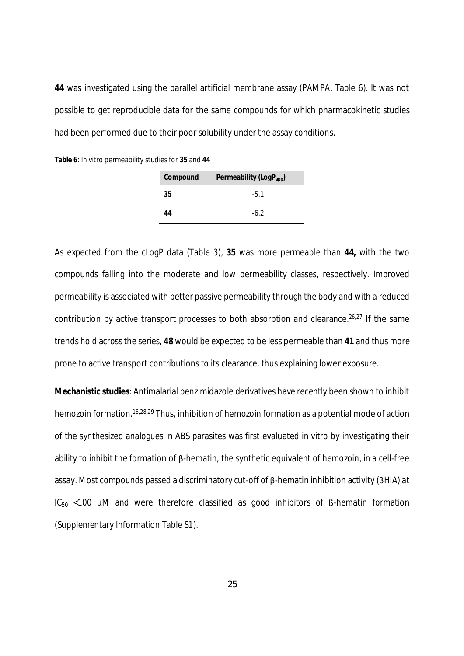**44** was investigated using the parallel artificial membrane assay (PAMPA, Table 6). It was not possible to get reproducible data for the same compounds for which pharmacokinetic studies had been performed due to their poor solubility under the assay conditions.

| Compound | Permeability (LogP <sub>app</sub> ) |
|----------|-------------------------------------|
| 35       | $-5.1$                              |
| 44       | $-6.2$                              |

**Table 6**: *In vitro* permeability studies for **35** and **44**

As expected from the cLogP data (Table 3), **35** was more permeable than **44,** with the two compounds falling into the moderate and low permeability classes, respectively. Improved permeability is associated with better passive permeability through the body and with a reduced contribution by active transport processes to both absorption and clearance.<sup>26,27</sup> If the same trends hold across the series, **48** would be expected to be less permeable than **41** and thus more prone to active transport contributions to its clearance, thus explaining lower exposure.

**Mechanistic studies**: Antimalarial benzimidazole derivatives have recently been shown to inhibit hemozoin formation.16,28,29 Thus, inhibition of hemozoin formation as a potential mode of action of the synthesized analogues in ABS parasites was first evaluated *in vitro* by investigating their ability to inhibit the formation of  $\beta$ -hematin, the synthetic equivalent of hemozoin, in a cell-free assay. Most compounds passed a discriminatory cut-off of  $\beta$ -hematin inhibition activity ( $\beta$ HIA) at  $IC_{50}$  <100 µM and were therefore classified as good inhibitors of B-hematin formation (Supplementary Information Table S1).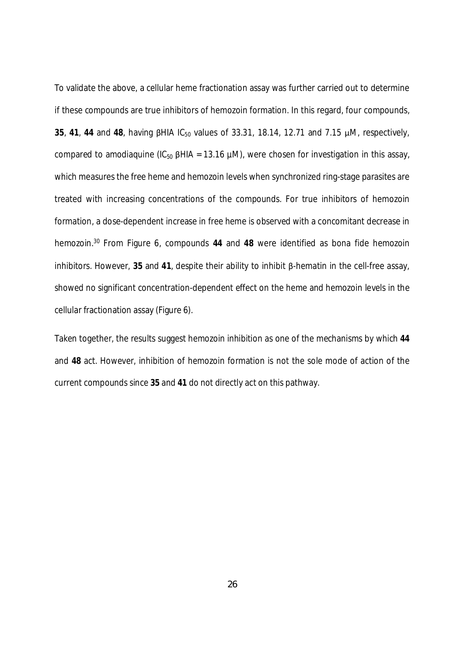To validate the above, a cellular heme fractionation assay was further carried out to determine if these compounds are true inhibitors of hemozoin formation. In this regard, four compounds, **35**, **41**, **44** and **48**, having ɴHIA IC50 values of 33.31, 18.14, 12.71 and 7.15 ʅM, respectively, compared to amodiaquine (IC<sub>50</sub>  $\beta$ HIA = 13.16  $\mu$ M), were chosen for investigation in this assay, which measures the free heme and hemozoin levels when synchronized ring-stage parasites are treated with increasing concentrations of the compounds. For true inhibitors of hemozoin formation, a dose-dependent increase in free heme is observed with a concomitant decrease in hemozoin.<sup>30</sup> From Figure 6, compounds **44** and **48** were identified as bona fide hemozoin inhibitors. However, 35 and 41, despite their ability to inhibit  $\beta$ -hematin in the cell-free assay, showed no significant concentration-dependent effect on the heme and hemozoin levels in the cellular fractionation assay (Figure 6).

Taken together, the results suggest hemozoin inhibition as one of the mechanisms by which **44** and **48** act. However, inhibition of hemozoin formation is not the sole mode of action of the current compounds since **35** and **41** do not directly act on this pathway.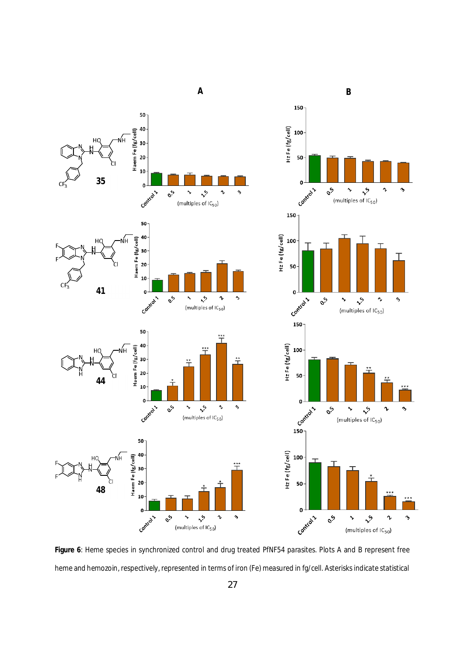

**Figure 6**: Heme species in synchronized control and drug treated *Pf*NF54 parasites. Plots A and B represent free heme and hemozoin, respectively, represented in terms of iron (Fe) measured in fg/cell. Asterisks indicate statistical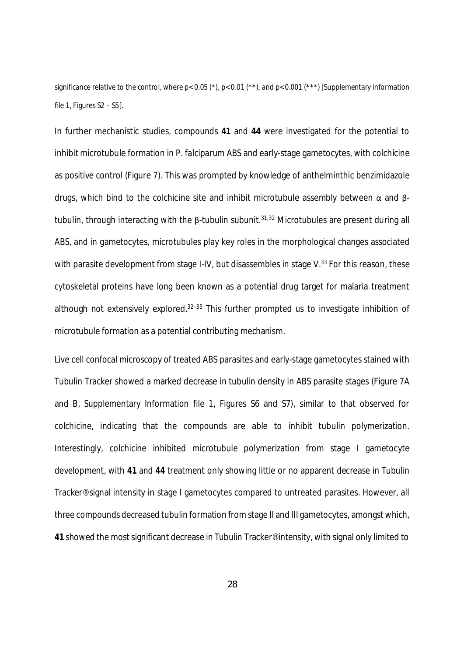significance relative to the control, where  $p$ < 0.05 (\*),  $p$ < 0.01 (\*\*), and  $p$ < 0.001 (\*\*\*) [Supplementary information file 1, Figures S2 – S5].

In further mechanistic studies, compounds **41** and **44** were investigated for the potential to inhibit microtubule formation in *P. falciparum* ABS and early-stage gametocytes, with colchicine as positive control (Figure 7). This was prompted by knowledge of anthelminthic benzimidazole drugs, which bind to the colchicine site and inhibit microtubule assembly between  $\alpha$  and  $\beta$ tubulin, through interacting with the  $\beta$ -tubulin subunit.<sup>31,32</sup> Microtubules are present during all ABS, and in gametocytes, microtubules play key roles in the morphological changes associated with parasite development from stage I-IV, but disassembles in stage V.<sup>33</sup> For this reason, these cytoskeletal proteins have long been known as a potential drug target for malaria treatment although not extensively explored.<sup>32-35</sup> This further prompted us to investigate inhibition of microtubule formation as a potential contributing mechanism.

Live cell confocal microscopy of treated ABS parasites and early-stage gametocytes stained with Tubulin Tracker showed a marked decrease in tubulin density in ABS parasite stages (Figure 7A and B, Supplementary Information file 1, Figures S6 and S7), similar to that observed for colchicine, indicating that the compounds are able to inhibit tubulin polymerization. Interestingly, colchicine inhibited microtubule polymerization from stage I gametocyte development, with **41** and **44** treatment only showing little or no apparent decrease in Tubulin Tracker® signal intensity in stage I gametocytes compared to untreated parasites. However, all three compounds decreased tubulin formation from stage II and III gametocytes, amongst which, **41** showed the most significant decrease in Tubulin Tracker® intensity, with signal only limited to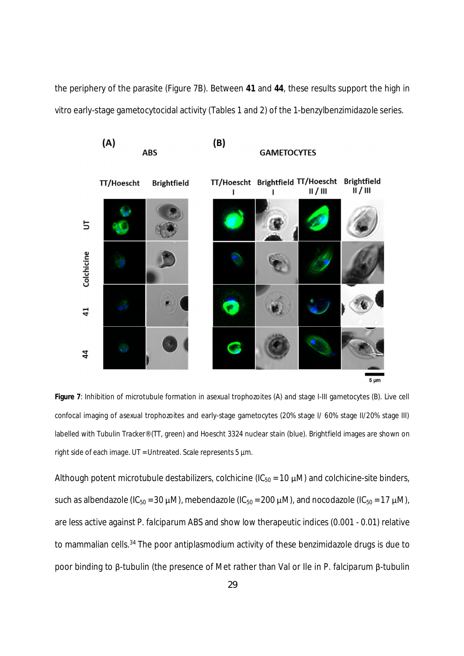the periphery of the parasite (Figure 7B). Between **41** and **44**, these results support the high *in vitro* early-stage gametocytocidal activity (Tables 1 and 2) of the 1-benzylbenzimidazole series.



**Figure 7**: Inhibition of microtubule formation in asexual trophozoites (A) and stage I-III gametocytes (B). Live cell confocal imaging of asexual trophozoites and early-stage gametocytes (20% stage I/ 60% stage II/20% stage III) labelled with Tubulin Tracker® (TT, green) and Hoescht 3324 nuclear stain (blue). Brightfield images are shown on right side of each image. UT = Untreated. Scale represents 5  $\mu$ m.

Although potent microtubule destabilizers, colchicine ( $IC_{50}$  = 10  $\mu$ M) and colchicine-site binders, such as albendazole (IC<sub>50</sub> = 30 µM), mebendazole (IC<sub>50</sub> = 200 µM), and nocodazole (IC<sub>50</sub> = 17 µM), are less active against *P. falciparum* ABS and show low therapeutic indices (0.001 - 0.01) relative to mammalian cells.<sup>34</sup> The poor antiplasmodium activity of these benzimidazole drugs is due to poor binding to β-tubulin (the presence of Met rather than Val or Ile in *P. falciparum* β-tubulin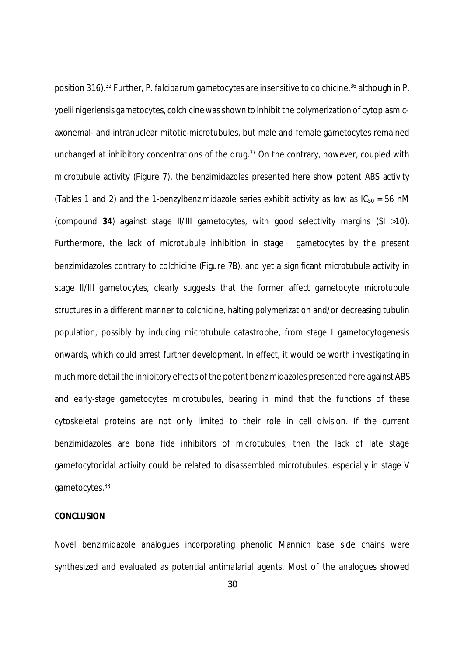position 316).<sup>32</sup> Further, *P. falciparum* gametocytes are insensitive to colchicine,<sup>36</sup> although in *P. yoelii nigeriensis* gametocytes, colchicine was shown to inhibit the polymerization of cytoplasmicaxonemal- and intranuclear mitotic-microtubules, but male and female gametocytes remained unchanged at inhibitory concentrations of the drug.<sup>37</sup> On the contrary, however, coupled with microtubule activity (Figure 7), the benzimidazoles presented here show potent ABS activity (Tables 1 and 2) and the 1-benzylbenzimidazole series exhibit activity as low as  $IC_{50} = 56$  nM (compound **34**) against stage II/III gametocytes, with good selectivity margins (SI >10). Furthermore, the lack of microtubule inhibition in stage I gametocytes by the present benzimidazoles contrary to colchicine (Figure 7B), and yet a significant microtubule activity in stage II/III gametocytes, clearly suggests that the former affect gametocyte microtubule structures in a different manner to colchicine, halting polymerization and/or decreasing tubulin population, possibly by inducing microtubule catastrophe, from stage I gametocytogenesis onwards, which could arrest further development. In effect, it would be worth investigating in much more detail the inhibitory effects of the potent benzimidazoles presented here against ABS and early-stage gametocytes microtubules, bearing in mind that the functions of these cytoskeletal proteins are not only limited to their role in cell division. If the current benzimidazoles are bona fide inhibitors of microtubules, then the lack of late stage gametocytocidal activity could be related to disassembled microtubules, especially in stage V gametocytes.<sup>33</sup>

#### **CONCLUSION**

Novel benzimidazole analogues incorporating phenolic Mannich base side chains were synthesized and evaluated as potential antimalarial agents. Most of the analogues showed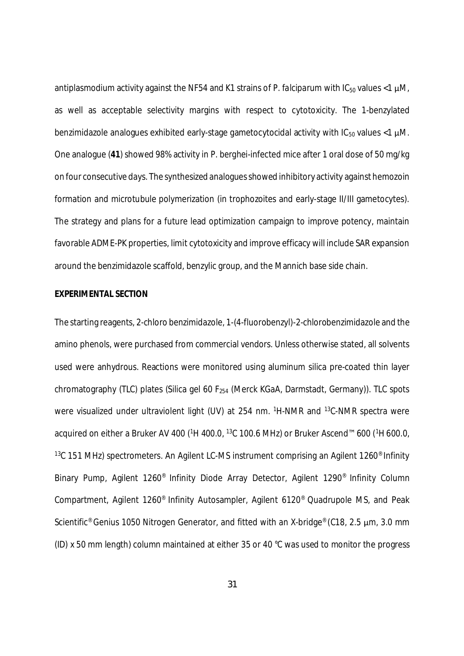antiplasmodium activity against the NF54 and K1 strains of *P. falciparum* with  $IC_{50}$  values <1  $\mu$ M, as well as acceptable selectivity margins with respect to cytotoxicity. The 1-benzylated benzimidazole analogues exhibited early-stage gametocytocidal activity with  $IC_{50}$  values <1 µM. One analogue (**41**) showed 98% activity in *P. berghei*-infected mice after 1 oral dose of 50 mg/kg on four consecutive days. The synthesized analogues showed inhibitory activity against hemozoin formation and microtubule polymerization (in trophozoites and early-stage II/III gametocytes). The strategy and plans for a future lead optimization campaign to improve potency, maintain favorable ADME-PK properties, limit cytotoxicity and improve efficacy will include SAR expansion around the benzimidazole scaffold, benzylic group, and the Mannich base side chain.

# **EXPERIMENTAL SECTION**

The starting reagents, 2-chloro benzimidazole, 1-(4-fluorobenzyl)-2-chlorobenzimidazole and the amino phenols, were purchased from commercial vendors. Unless otherwise stated, all solvents used were anhydrous. Reactions were monitored using aluminum silica pre-coated thin layer chromatography (TLC) plates (Silica gel 60 F<sub>254</sub> (Merck KGaA, Darmstadt, Germany)). TLC spots were visualized under ultraviolent light (UV) at 254 nm. <sup>1</sup>H-NMR and <sup>13</sup>C-NMR spectra were acquired on either a Bruker AV 400 ( $1H$  400.0,  $13C$  100.6 MHz) or Bruker Ascend™ 600 ( $1H$  600.0, <sup>13</sup>C 151 MHz) spectrometers. An Agilent LC-MS instrument comprising an Agilent 1260<sup>®</sup> Infinity Binary Pump, Agilent 1260<sup>®</sup> Infinity Diode Array Detector, Agilent 1290<sup>®</sup> Infinity Column Compartment, Agilent 1260<sup>®</sup> Infinity Autosampler, Agilent 6120<sup>®</sup> Quadrupole MS, and Peak Scientific® Genius 1050 Nitrogen Generator, and fitted with an X-bridge® (C18, 2.5 µm, 3.0 mm (ID) x 50 mm length) column maintained at either 35 or 40 °C was used to monitor the progress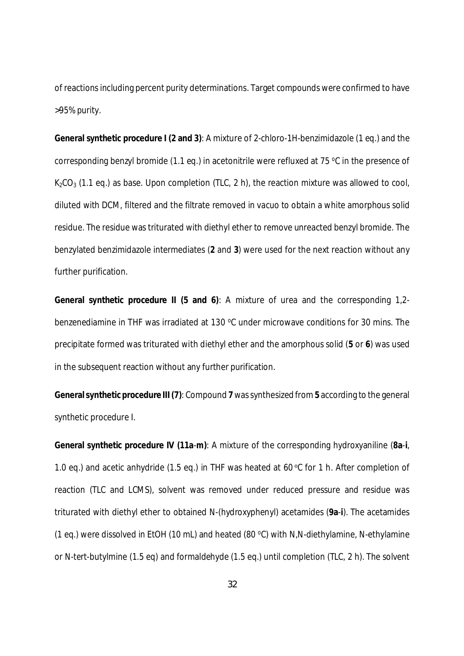of reactions including percent purity determinations. Target compounds were confirmed to have >95% purity.

**General synthetic procedure I (2 and 3)**: A mixture of 2-chloro-1*H*-benzimidazole (1 eq.) and the corresponding benzyl bromide (1.1 eq.) in acetonitrile were refluxed at 75  $\degree$ C in the presence of  $K_2CO_3$  (1.1 eq.) as base. Upon completion (TLC, 2 h), the reaction mixture was allowed to cool, diluted with DCM, filtered and the filtrate removed *in vacuo* to obtain a white amorphous solid residue. The residue was triturated with diethyl ether to remove unreacted benzyl bromide. The benzylated benzimidazole intermediates (**2** and **3**) were used for the next reaction without any further purification.

**General synthetic procedure II (5 and 6)**: A mixture of urea and the corresponding 1,2 benzenediamine in THF was irradiated at 130 °C under microwave conditions for 30 mins. The precipitate formed was triturated with diethyl ether and the amorphous solid (**5** or **6**) was used in the subsequent reaction without any further purification.

**General synthetic procedure III (7)**: Compound **7** was synthesized from**5** according to the general synthetic procedure I.

**General synthetic procedure IV (11a**-**m)**: A mixture of the corresponding hydroxyaniline (**8a**-**i**, 1.0 eq.) and acetic anhydride (1.5 eq.) in THF was heated at 60  $\degree$ C for 1 h. After completion of reaction (TLC and LCMS), solvent was removed under reduced pressure and residue was triturated with diethyl ether to obtained *N*-(hydroxyphenyl) acetamides (**9a**-**i**). The acetamides (1 eq.) were dissolved in EtOH (10 mL) and heated (80 <sup>o</sup>C) with *N*,*N*-diethylamine, *N*-ethylamine or *N*-*tert*-butylmine (1.5 eq) and formaldehyde (1.5 eq.) until completion (TLC, 2 h). The solvent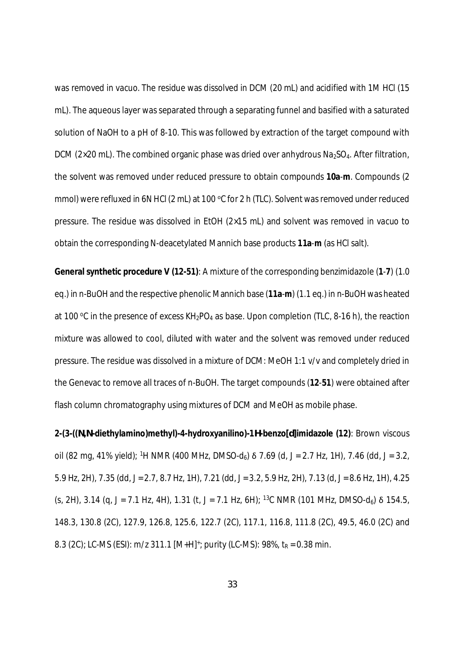was removed *in vacuo*. The residue was dissolved in DCM (20 mL) and acidified with 1M HCl (15 mL). The aqueous layer was separated through a separating funnel and basified with a saturated solution of NaOH to a pH of 8-10. This was followed by extraction of the target compound with DCM (2×20 mL). The combined organic phase was dried over anhydrous  $Na<sub>2</sub>SO<sub>4</sub>$ . After filtration, the solvent was removed under reduced pressure to obtain compounds **10a**-**m**. Compounds (2 mmol) were refluxed in 6N HCl (2 mL) at 100 °C for 2 h (TLC). Solvent was removed under reduced pressure. The residue was dissolved in EtOH (2×15 mL) and solvent was removed *in vacuo* to obtain the corresponding *N*-deacetylated Mannich base products **11a**-**m** (as HCl salt).

**General synthetic procedure V (12-51)**: A mixture of the corresponding benzimidazole (**1**-**7**) (1.0 eq.) in *n*-BuOH and the respective phenolic Mannich base (**11a**-**m**) (1.1 eq.) in *n*-BuOH was heated at 100 °C in the presence of excess  $KH_2PO_4$  as base. Upon completion (TLC, 8-16 h), the reaction mixture was allowed to cool, diluted with water and the solvent was removed under reduced pressure. The residue was dissolved in a mixture of DCM: MeOH 1:1 *v/v* and completely dried in the Genevac to remove all traces of *n-*BuOH. The target compounds (**12**-**51**) were obtained after flash column chromatography using mixtures of DCM and MeOH as mobile phase.

**2-(3-((***N***,***N***-diethylamino)methyl)-4-hydroxyanilino)-1***H***-benzo[***d***]imidazole (12)**: Brown viscous oil (82 mg, 41% yield); <sup>1</sup>H NMR (400 MHz, DMSO-*d*6) ɷ 7.69 (d, *J* = 2.7 Hz, 1H), 7.46 (dd, *J* = 3.2, 5.9 Hz, 2H), 7.35 (dd, *J* = 2.7, 8.7 Hz, 1H), 7.21 (dd, *J* = 3.2, 5.9 Hz, 2H), 7.13 (d, *J* = 8.6 Hz, 1H), 4.25 (s, 2H), 3.14 (q, *J* = 7.1 Hz, 4H), 1.31 (t, *J* = 7.1 Hz, 6H); <sup>13</sup>C NMR (101 MHz, DMSO-*d*6) ɷ 154.5, 148.3, 130.8 (2C), 127.9, 126.8, 125.6, 122.7 (2C), 117.1, 116.8, 111.8 (2C), 49.5, 46.0 (2C) and 8.3 (2C); LC-MS (ESI): *m/z* 311.1 [M+H]<sup>+</sup>; purity (LC-MS): 98%, t<sub>R</sub> = 0.38 min.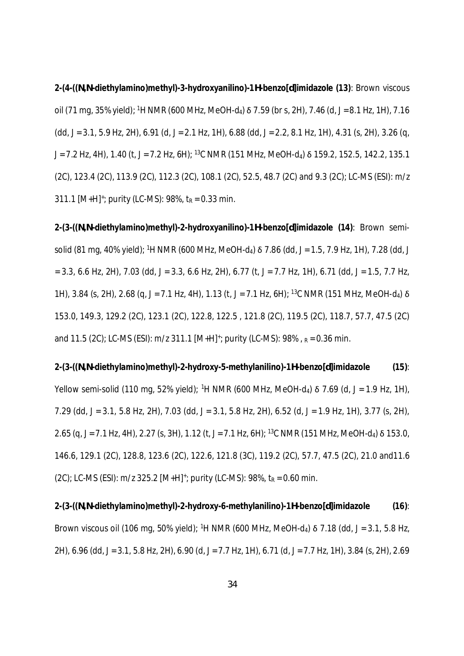**2-(4-((***N***,***N***-diethylamino)methyl)-3-hydroxyanilino)-1***H***-benzo[***d***]imidazole (13)**: Brown viscous oil (71 mg, 35% yield); <sup>1</sup>H NMR (600 MHz, MeOH-*d*4) ɷ 7.59 (br s, 2H), 7.46 (d, *J* = 8.1 Hz, 1H), 7.16 (dd, *J* = 3.1, 5.9 Hz, 2H), 6.91 (d, *J* = 2.1 Hz, 1H), 6.88 (dd, *J* = 2.2, 8.1 Hz, 1H), 4.31 (s, 2H), 3.26 (q, *J* = 7.2 Hz, 4H), 1.40 (t, *J* = 7.2 Hz, 6H); <sup>13</sup>C NMR (151 MHz, MeOH-*d*4) ɷ 159.2, 152.5, 142.2, 135.1 (2C), 123.4 (2C), 113.9 (2C), 112.3 (2C), 108.1 (2C), 52.5, 48.7 (2C) and 9.3 (2C); LC-MS (ESI): *m/z* 311.1 [M+H]<sup>+</sup>; purity (LC-MS): 98%,  $t_R$  = 0.33 min.

**2-(3-((***N***,***N***-diethylamino)methyl)-2-hydroxyanilino)-1***H***-benzo[***d***]imidazole (14)**: Brown semisolid (81 mg, 40% yield); <sup>1</sup>H NMR (600 MHz, MeOH-*d*4) ɷ 7.86 (dd, *J* = 1.5, 7.9 Hz, 1H), 7.28 (dd, *J* = 3.3, 6.6 Hz, 2H), 7.03 (dd, *J* = 3.3, 6.6 Hz, 2H), 6.77 (t, *J* = 7.7 Hz, 1H), 6.71 (dd, *J* = 1.5, 7.7 Hz, 1H), 3.84 (s, 2H), 2.68 (q, *J* = 7.1 Hz, 4H), 1.13 (t, *J* = 7.1 Hz, 6H); <sup>13</sup>C NMR (151 MHz, MeOH-*d*4) ɷ 153.0, 149.3, 129.2 (2C), 123.1 (2C), 122.8, 122.5 , 121.8 (2C), 119.5 (2C), 118.7, 57.7, 47.5 (2C) and 11.5 (2C); LC-MS (ESI):  $m/z$  311.1 [M+H]<sup>+</sup>; purity (LC-MS): 98%, R = 0.36 min.

**2-(3-((***N***,***N***-diethylamino)methyl)-2-hydroxy-5-methylanilino)-1***H***-benzo[***d***]imidazole (15)**: Yellow semi-solid (110 mg, 52% yield); <sup>1</sup>H NMR (600 MHz, MeOH-*d*4) ɷ 7.69 (d, *J* = 1.9 Hz, 1H), 7.29 (dd, *J* = 3.1, 5.8 Hz, 2H), 7.03 (dd, *J* = 3.1, 5.8 Hz, 2H), 6.52 (d, *J* = 1.9 Hz, 1H), 3.77 (s, 2H), 2.65 (q, *J* = 7.1 Hz, 4H), 2.27 (s, 3H), 1.12 (t, *J* = 7.1 Hz, 6H); <sup>13</sup>C NMR (151 MHz, MeOH-*d*4) ɷ 153.0, 146.6, 129.1 (2C), 128.8, 123.6 (2C), 122.6, 121.8 (3C), 119.2 (2C), 57.7, 47.5 (2C), 21.0 and11.6 (2C); LC-MS (ESI):  $m/z$  325.2 [M+H]<sup>+</sup>; purity (LC-MS): 98%, t<sub>R</sub> = 0.60 min.

**2-(3-((***N***,***N***-diethylamino)methyl)-2-hydroxy-6-methylanilino)-1***H***-benzo[***d***]imidazole (16)**: Brown viscous oil (106 mg, 50% yield); <sup>1</sup>H NMR (600 MHz, MeOH-*d*4) ɷ 7.18 (dd, *J* = 3.1, 5.8 Hz, 2H), 6.96 (dd, *J* = 3.1, 5.8 Hz, 2H), 6.90 (d, *J* = 7.7 Hz, 1H), 6.71 (d, *J* = 7.7 Hz, 1H), 3.84 (s, 2H), 2.69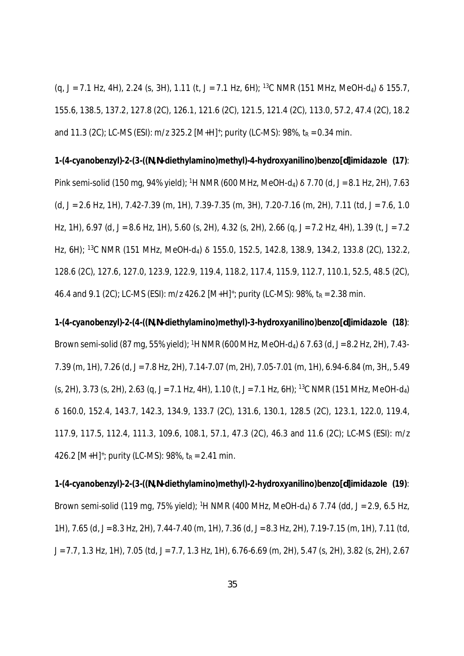(q, *J* = 7.1 Hz, 4H), 2.24 (s, 3H), 1.11 (t, *J* = 7.1 Hz, 6H); <sup>13</sup>C NMR (151 MHz, MeOH-*d*4) ɷ 155.7, 155.6, 138.5, 137.2, 127.8 (2C), 126.1, 121.6 (2C), 121.5, 121.4 (2C), 113.0, 57.2, 47.4 (2C), 18.2 and 11.3 (2C); LC-MS (ESI): *m/z* 325.2 [M+H]<sup>+</sup>; purity (LC-MS): 98%, t<sub>R</sub> = 0.34 min.

**1-(4-cyanobenzyl)-2-(3-((***N***,***N***-diethylamino)methyl)-4-hydroxyanilino)benzo[***d***]imidazole (17)**: Pink semi-solid (150 mg, 94% yield); <sup>1</sup>H NMR (600 MHz, MeOH-*d*4) ɷ 7.70 (d, *J* = 8.1 Hz, 2H), 7.63 (d, *J* = 2.6 Hz, 1H), 7.42-7.39 (m, 1H), 7.39-7.35 (m, 3H), 7.20-7.16 (m, 2H), 7.11 (td, *J* = 7.6, 1.0 Hz, 1H), 6.97 (d, *J* = 8.6 Hz, 1H), 5.60 (s, 2H), 4.32 (s, 2H), 2.66 (q, *J* = 7.2 Hz, 4H), 1.39 (t, *J* = 7.2 Hz, 6H); <sup>13</sup>C NMR (151 MHz, MeOH-*d*<sub>4</sub>) δ 155.0, 152.5, 142.8, 138.9, 134.2, 133.8 (2C), 132.2, 128.6 (2C), 127.6, 127.0, 123.9, 122.9, 119.4, 118.2, 117.4, 115.9, 112.7, 110.1, 52.5, 48.5 (2C), 46.4 and 9.1 (2C); LC-MS (ESI):  $m/z$  426.2 [M+H]<sup>+</sup>; purity (LC-MS): 98%, t<sub>R</sub> = 2.38 min.

**1-(4-cyanobenzyl)-2-(4-((***N***,***N***-diethylamino)methyl)-3-hydroxyanilino)benzo[***d***]imidazole (18)**: Brown semi-solid (87 mg, 55% yield); <sup>1</sup>H NMR (600 MHz, MeOH-*d*4) ɷ 7.63 (d, *J* = 8.2 Hz, 2H), 7.43- 7.39 (m, 1H), 7.26 (d, *J* = 7.8 Hz, 2H), 7.14-7.07 (m, 2H), 7.05-7.01 (m, 1H), 6.94-6.84 (m, 3H,, 5.49 (s, 2H), 3.73 (s, 2H), 2.63 (q, *J* = 7.1 Hz, 4H), 1.10 (t, *J* = 7.1 Hz, 6H); <sup>13</sup>C NMR (151 MHz, MeOH-*d*4) ɷ 160.0, 152.4, 143.7, 142.3, 134.9, 133.7 (2C), 131.6, 130.1, 128.5 (2C), 123.1, 122.0, 119.4, 117.9, 117.5, 112.4, 111.3, 109.6, 108.1, 57.1, 47.3 (2C), 46.3 and 11.6 (2C); LC-MS (ESI): *m/z* 426.2 [M+H]<sup>+</sup>; purity (LC-MS): 98%,  $t_R$  = 2.41 min.

**1-(4-cyanobenzyl)-2-(3-((***N***,***N***-diethylamino)methyl)-2-hydroxyanilino)benzo[***d***]imidazole (19)**: Brown semi-solid (119 mg, 75% yield); <sup>1</sup>H NMR (400 MHz, MeOH-*d*4) ɷ 7.74 (dd, *J* = 2.9, 6.5 Hz, 1H), 7.65 (d, *J* = 8.3 Hz, 2H), 7.44-7.40 (m, 1H), 7.36 (d, *J* = 8.3 Hz, 2H), 7.19-7.15 (m, 1H), 7.11 (td, *J* = 7.7, 1.3 Hz, 1H), 7.05 (td, *J* = 7.7, 1.3 Hz, 1H), 6.76-6.69 (m, 2H), 5.47 (s, 2H), 3.82 (s, 2H), 2.67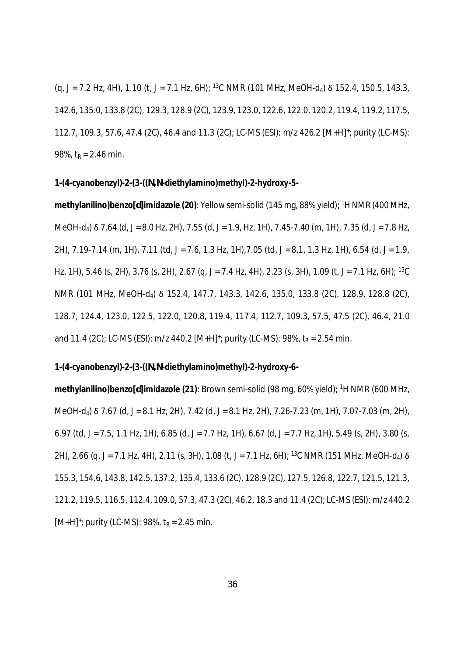(q, *J* = 7.2 Hz, 4H), 1.10 (t, *J* = 7.1 Hz, 6H); <sup>13</sup>C NMR (101 MHz, MeOH-*d*4) ɷ 152.4, 150.5, 143.3, 142.6, 135.0, 133.8 (2C), 129.3, 128.9 (2C), 123.9, 123.0, 122.6, 122.0, 120.2, 119.4, 119.2, 117.5, 112.7, 109.3, 57.6, 47.4 (2C), 46.4 and 11.3 (2C); LC-MS (ESI): *m/z* 426.2 [M+H]<sup>+</sup> ; purity (LC-MS): 98%,  $t_R = 2.46$  min.

**1-(4-cyanobenzyl)-2-(3-((***N***,***N***-diethylamino)methyl)-2-hydroxy-5-**

**methylanilino)benzo[***d***]imidazole (20)**: Yellow semi-solid (145 mg, 88% yield); <sup>1</sup>H NMR (400 MHz, MeOH-*d*4) ɷ 7.64 (d, *J* = 8.0 Hz, 2H), 7.55 (d, *J* = 1.9, Hz, 1H), 7.45-7.40 (m, 1H), 7.35 (d, *J* = 7.8 Hz, 2H), 7.19-7.14 (m, 1H), 7.11 (td, *J* = 7.6, 1.3 Hz, 1H),7.05 (td, *J* = 8.1, 1.3 Hz, 1H), 6.54 (d, *J* = 1.9, Hz, 1H), 5.46 (s, 2H), 3.76 (s, 2H), 2.67 (q, *J* = 7.4 Hz, 4H), 2.23 (s, 3H), 1.09 (t, *J* = 7.1 Hz, 6H); <sup>13</sup>C NMR (101 MHz, MeOH-*d*4) ɷ 152.4, 147.7, 143.3, 142.6, 135.0, 133.8 (2C), 128.9, 128.8 (2C), 128.7, 124.4, 123.0, 122.5, 122.0, 120.8, 119.4, 117.4, 112.7, 109.3, 57.5, 47.5 (2C), 46.4, 21.0 and 11.4 (2C); LC-MS (ESI):  $m/z$  440.2 [M+H]<sup>+</sup>; purity (LC-MS): 98%, t<sub>R</sub> = 2.54 min.

**1-(4-cyanobenzyl)-2-(3-((***N***,***N***-diethylamino)methyl)-2-hydroxy-6-**

**methylanilino)benzo[***d***]imidazole (21)**: Brown semi-solid (98 mg, 60% yield); <sup>1</sup>H NMR (600 MHz, MeOH-*d*4) ɷ 7.67 (d, *J* = 8.1 Hz, 2H), 7.42 (d, *J* = 8.1 Hz, 2H), 7.26-7.23 (m, 1H), 7.07-7.03 (m, 2H), 6.97 (td, *J* = 7.5, 1.1 Hz, 1H), 6.85 (d, *J* = 7.7 Hz, 1H), 6.67 (d, *J* = 7.7 Hz, 1H), 5.49 (s, 2H), 3.80 (s, 2H), 2.66 (q, *J* = 7.1 Hz, 4H), 2.11 (s, 3H), 1.08 (t, *J* = 7.1 Hz, 6H); <sup>13</sup>C NMR (151 MHz, MeOH-*d*4) ɷ 155.3, 154.6, 143.8, 142.5, 137.2, 135.4, 133.6 (2C), 128.9 (2C), 127.5, 126.8, 122.7, 121.5, 121.3, 121.2, 119.5, 116.5, 112.4, 109.0, 57.3, 47.3 (2C), 46.2, 18.3 and 11.4 (2C); LC-MS (ESI): *m/z* 440.2 [M+H]<sup>+</sup>; purity (LC-MS): 98%,  $t_R$  = 2.45 min.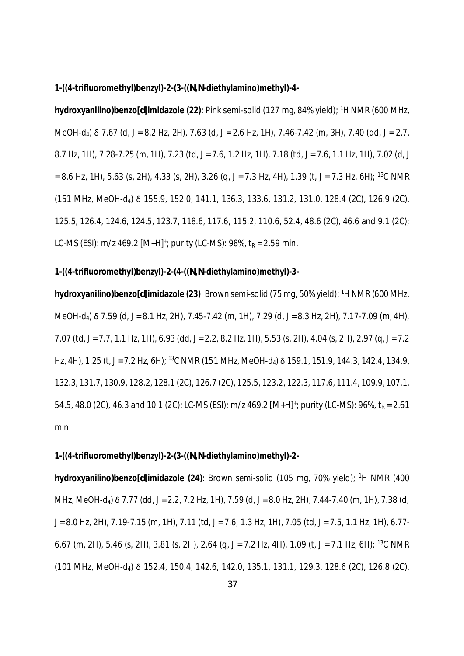**1-((4-trifluoromethyl)benzyl)-2-(3-((***N***,***N***-diethylamino)methyl)-4-**

**hydroxyanilino)benzo[***d***]imidazole (22)**: Pink semi-solid (127 mg, 84% yield); <sup>1</sup>H NMR (600 MHz, MeOH-*d*4) ɷ 7.67 (d, *J* = 8.2 Hz, 2H), 7.63 (d, *J* = 2.6 Hz, 1H), 7.46-7.42 (m, 3H), 7.40 (dd, *J* = 2.7, 8.7 Hz, 1H), 7.28-7.25 (m, 1H), 7.23 (td, *J* = 7.6, 1.2 Hz, 1H), 7.18 (td, *J* = 7.6, 1.1 Hz, 1H), 7.02 (d, *J* = 8.6 Hz, 1H), 5.63 (s, 2H), 4.33 (s, 2H), 3.26 (q, *J* = 7.3 Hz, 4H), 1.39 (t, *J* = 7.3 Hz, 6H); <sup>13</sup>C NMR (151 MHz, MeOH-*d*4) ɷ 155.9, 152.0, 141.1, 136.3, 133.6, 131.2, 131.0, 128.4 (2C), 126.9 (2C), 125.5, 126.4, 124.6, 124.5, 123.7, 118.6, 117.6, 115.2, 110.6, 52.4, 48.6 (2C), 46.6 and 9.1 (2C); LC-MS (ESI): *m/z* 469.2 [M+H]<sup>+</sup>; purity (LC-MS): 98%, t<sub>R</sub> = 2.59 min.

**1-((4-trifluoromethyl)benzyl)-2-(4-((***N***,***N***-diethylamino)methyl)-3-**

**hydroxyanilino)benzo[***d***]imidazole (23)**: Brown semi-solid (75 mg, 50% yield); <sup>1</sup>H NMR (600 MHz, MeOH-*d*4) ɷ 7.59 (d, *J* = 8.1 Hz, 2H), 7.45-7.42 (m, 1H), 7.29 (d, *J* = 8.3 Hz, 2H), 7.17-7.09 (m, 4H), 7.07 (td, *J* = 7.7, 1.1 Hz, 1H), 6.93 (dd, *J* = 2.2, 8.2 Hz, 1H), 5.53 (s, 2H), 4.04 (s, 2H), 2.97 (q, *J* = 7.2 Hz, 4H), 1.25 (t, *J* = 7.2 Hz, 6H); <sup>13</sup>C NMR (151 MHz, MeOH-*d*4) ɷ 159.1, 151.9, 144.3, 142.4, 134.9, 132.3, 131.7, 130.9, 128.2, 128.1 (2C), 126.7 (2C), 125.5, 123.2, 122.3, 117.6, 111.4, 109.9, 107.1, 54.5, 48.0 (2C), 46.3 and 10.1 (2C); LC-MS (ESI):  $m/z$  469.2 [M+H]<sup>+</sup>; purity (LC-MS): 96%, t<sub>R</sub> = 2.61 min.

**1-((4-trifluoromethyl)benzyl)-2-(3-((***N***,***N***-diethylamino)methyl)-2-**

**hydroxyanilino)benzo[***d***]imidazole (24)**: Brown semi-solid (105 mg, 70% yield); <sup>1</sup>H NMR (400 MHz, MeOH-*d*4) ɷ 7.77 (dd, *J* = 2.2, 7.2 Hz, 1H), 7.59 (d, *J* = 8.0 Hz, 2H), 7.44-7.40 (m, 1H), 7.38 (d, *J* = 8.0 Hz, 2H), 7.19-7.15 (m, 1H), 7.11 (td, *J* = 7.6, 1.3 Hz, 1H), 7.05 (td, *J* = 7.5, 1.1 Hz, 1H), 6.77- 6.67 (m, 2H), 5.46 (s, 2H), 3.81 (s, 2H), 2.64 (q, *J* = 7.2 Hz, 4H), 1.09 (t, *J* = 7.1 Hz, 6H); <sup>13</sup>C NMR (101 MHz, MeOH-*d*4) ɷ 152.4, 150.4, 142.6, 142.0, 135.1, 131.1, 129.3, 128.6 (2C), 126.8 (2C),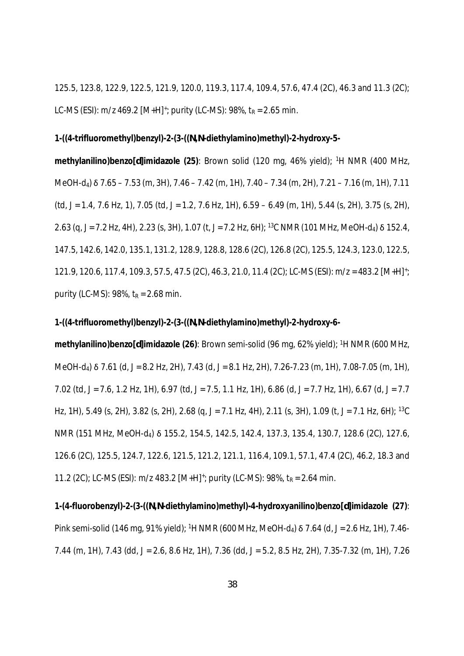125.5, 123.8, 122.9, 122.5, 121.9, 120.0, 119.3, 117.4, 109.4, 57.6, 47.4 (2C), 46.3 and 11.3 (2C); LC-MS (ESI): *m/z* 469.2 [M+H]<sup>+</sup>; purity (LC-MS): 98%, t<sub>R</sub> = 2.65 min.

**1-((4-trifluoromethyl)benzyl)-2-(3-((***N***,***N***-diethylamino)methyl)-2-hydroxy-5-**

**methylanilino)benzo[***d***]imidazole (25)**: Brown solid (120 mg, 46% yield); <sup>1</sup>H NMR (400 MHz, MeOH-*d*4) ɷ 7.65 – 7.53 (m, 3H), 7.46 – 7.42 (m, 1H), 7.40 – 7.34 (m, 2H), 7.21 – 7.16 (m, 1H), 7.11 (td, *J* = 1.4, 7.6 Hz, 1), 7.05 (td, *J* = 1.2, 7.6 Hz, 1H), 6.59 – 6.49 (m, 1H), 5.44 (s, 2H), 3.75 (s, 2H), 2.63 (q, *J* = 7.2 Hz, 4H), 2.23 (s, 3H), 1.07 (t, *J* = 7.2 Hz, 6H); <sup>13</sup>C NMR (101 MHz, MeOH-*d*4) ɷ 152.4, 147.5, 142.6, 142.0, 135.1, 131.2, 128.9, 128.8, 128.6 (2C), 126.8 (2C), 125.5, 124.3, 123.0, 122.5, 121.9, 120.6, 117.4, 109.3, 57.5, 47.5 (2C), 46.3, 21.0, 11.4 (2C); LC-MS (ESI): *m/z* = 483.2 [M+H]<sup>+</sup> ; purity (LC-MS): 98%,  $t_R = 2.68$  min.

**1-((4-trifluoromethyl)benzyl)-2-(3-((***N***,***N***-diethylamino)methyl)-2-hydroxy-6-**

**methylanilino)benzo[***d***]imidazole (26)**: Brown semi-solid (96 mg, 62% yield); <sup>1</sup>H NMR (600 MHz, MeOH-*d*4) ɷ 7.61 (d, *J* = 8.2 Hz, 2H), 7.43 (d, *J* = 8.1 Hz, 2H), 7.26-7.23 (m, 1H), 7.08-7.05 (m, 1H), 7.02 (td, *J* = 7.6, 1.2 Hz, 1H), 6.97 (td, *J* = 7.5, 1.1 Hz, 1H), 6.86 (d, *J* = 7.7 Hz, 1H), 6.67 (d, *J* = 7.7 Hz, 1H), 5.49 (s, 2H), 3.82 (s, 2H), 2.68 (q, *J* = 7.1 Hz, 4H), 2.11 (s, 3H), 1.09 (t, *J* = 7.1 Hz, 6H); <sup>13</sup>C NMR (151 MHz, MeOH-*d*4) ɷ 155.2, 154.5, 142.5, 142.4, 137.3, 135.4, 130.7, 128.6 (2C), 127.6, 126.6 (2C), 125.5, 124.7, 122.6, 121.5, 121.2, 121.1, 116.4, 109.1, 57.1, 47.4 (2C), 46.2, 18.3 and 11.2 (2C); LC-MS (ESI):  $m/z$  483.2 [M+H]<sup>+</sup>; purity (LC-MS): 98%, t<sub>R</sub> = 2.64 min.

**1-(4-fluorobenzyl)-2-(3-((***N***,***N***-diethylamino)methyl)-4-hydroxyanilino)benzo[***d***]imidazole (27)**: Pink semi-solid (146 mg, 91% yield); <sup>1</sup>H NMR (600 MHz, MeOH-*d*4) ɷ 7.64 (d, *J* = 2.6 Hz, 1H), 7.46- 7.44 (m, 1H), 7.43 (dd, *J* = 2.6, 8.6 Hz, 1H), 7.36 (dd, *J* = 5.2, 8.5 Hz, 2H), 7.35-7.32 (m, 1H), 7.26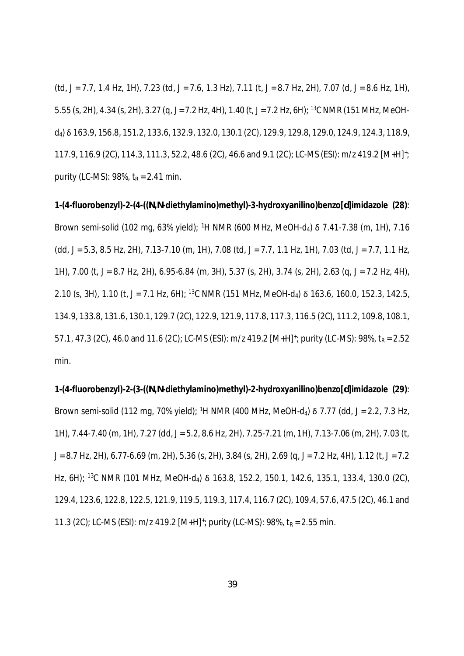(td, *J* = 7.7, 1.4 Hz, 1H), 7.23 (td, *J* = 7.6, 1.3 Hz), 7.11 (t, *J* = 8.7 Hz, 2H), 7.07 (d, *J* = 8.6 Hz, 1H), 5.55 (s, 2H), 4.34 (s, 2H), 3.27 (q, *J* = 7.2 Hz, 4H), 1.40 (t, *J* = 7.2 Hz, 6H); <sup>13</sup>C NMR (151 MHz, MeOH*d*4) ɷ 163.9, 156.8, 151.2, 133.6, 132.9, 132.0, 130.1 (2C), 129.9, 129.8, 129.0, 124.9, 124.3, 118.9, 117.9, 116.9 (2C), 114.3, 111.3, 52.2, 48.6 (2C), 46.6 and 9.1 (2C); LC-MS (ESI): *m/z* 419.2 [M+H]<sup>+</sup> ; purity (LC-MS): 98%,  $t_R = 2.41$  min.

**1-(4-fluorobenzyl)-2-(4-((***N***,***N***-diethylamino)methyl)-3-hydroxyanilino)benzo[***d***]imidazole (28)**: Brown semi-solid (102 mg, 63% yield); <sup>1</sup>H NMR (600 MHz, MeOH-*d*4) ɷ 7.41-7.38 (m, 1H), 7.16 (dd, *J* = 5.3, 8.5 Hz, 2H), 7.13-7.10 (m, 1H), 7.08 (td, *J* = 7.7, 1.1 Hz, 1H), 7.03 (td, *J* = 7.7, 1.1 Hz, 1H), 7.00 (t, *J* = 8.7 Hz, 2H), 6.95-6.84 (m, 3H), 5.37 (s, 2H), 3.74 (s, 2H), 2.63 (q, *J* = 7.2 Hz, 4H), 2.10 (s, 3H), 1.10 (t, *J* = 7.1 Hz, 6H); <sup>13</sup>C NMR (151 MHz, MeOH-*d*4) ɷ 163.6, 160.0, 152.3, 142.5, 134.9, 133.8, 131.6, 130.1, 129.7 (2C), 122.9, 121.9, 117.8, 117.3, 116.5 (2C), 111.2, 109.8, 108.1, 57.1, 47.3 (2C), 46.0 and 11.6 (2C); LC-MS (ESI): *m/z* 419.2 [M+H]<sup>+</sup>; purity (LC-MS): 98%, t<sub>R</sub> = 2.52 min.

**1-(4-fluorobenzyl)-2-(3-((***N***,***N***-diethylamino)methyl)-2-hydroxyanilino)benzo[***d***]imidazole (29)**: Brown semi-solid (112 mg, 70% yield); <sup>1</sup>H NMR (400 MHz, MeOH-*d*4) ɷ 7.77 (dd, *J* = 2.2, 7.3 Hz, 1H), 7.44-7.40 (m, 1H), 7.27 (dd, *J* = 5.2, 8.6 Hz, 2H), 7.25-7.21 (m, 1H), 7.13-7.06 (m, 2H), 7.03 (t, *J* = 8.7 Hz, 2H), 6.77-6.69 (m, 2H), 5.36 (s, 2H), 3.84 (s, 2H), 2.69 (q, *J* = 7.2 Hz, 4H), 1.12 (t, *J* = 7.2 Hz, 6H); <sup>13</sup>C NMR (101 MHz, MeOH-*d*<sub>4</sub>) δ 163.8, 152.2, 150.1, 142.6, 135.1, 133.4, 130.0 (2C), 129.4, 123.6, 122.8, 122.5, 121.9, 119.5, 119.3, 117.4, 116.7 (2C), 109.4, 57.6, 47.5 (2C), 46.1 and 11.3 (2C); LC-MS (ESI):  $m/z$  419.2 [M+H]<sup>+</sup>; purity (LC-MS): 98%, t<sub>R</sub> = 2.55 min.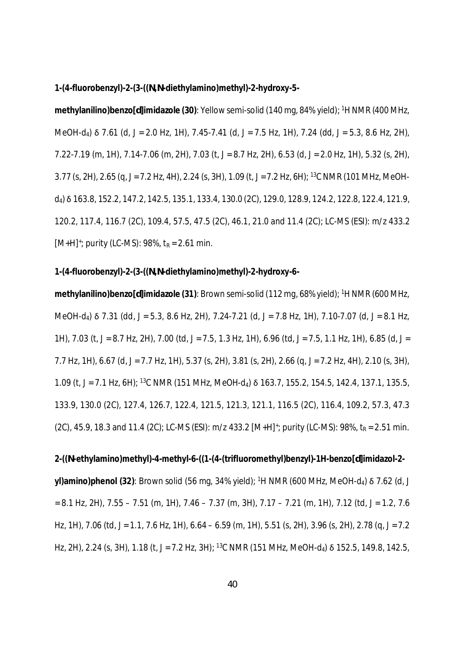**1-(4-fluorobenzyl)-2-(3-((***N***,***N***-diethylamino)methyl)-2-hydroxy-5-**

**methylanilino)benzo[***d***]imidazole (30)**: Yellow semi-solid (140 mg, 84% yield); <sup>1</sup>H NMR (400 MHz, MeOH-*d*4) ɷ 7.61 (d, *J* = 2.0 Hz, 1H), 7.45-7.41 (d, *J* = 7.5 Hz, 1H), 7.24 (dd, *J* = 5.3, 8.6 Hz, 2H), 7.22-7.19 (m, 1H), 7.14-7.06 (m, 2H), 7.03 (t, *J* = 8.7 Hz, 2H), 6.53 (d, *J* = 2.0 Hz, 1H), 5.32 (s, 2H), 3.77 (s, 2H), 2.65 (q, *J* = 7.2 Hz, 4H), 2.24 (s, 3H), 1.09 (t, *J* = 7.2 Hz, 6H); <sup>13</sup>C NMR (101 MHz, MeOH*d*4) ɷ 163.8, 152.2, 147.2, 142.5, 135.1, 133.4, 130.0 (2C), 129.0, 128.9, 124.2, 122.8, 122.4, 121.9, 120.2, 117.4, 116.7 (2C), 109.4, 57.5, 47.5 (2C), 46.1, 21.0 and 11.4 (2C); LC-MS (ESI): *m/z* 433.2 [M+H]<sup>+</sup>; purity (LC-MS): 98%,  $t_R$  = 2.61 min.

**1-(4-fluorobenzyl)-2-(3-((***N***,***N***-diethylamino)methyl)-2-hydroxy-6-**

**methylanilino)benzo[***d***]imidazole (31)**: Brown semi-solid (112 mg, 68% yield); <sup>1</sup>H NMR (600 MHz, MeOH-*d*4) ɷ 7.31 (dd, *J* = 5.3, 8.6 Hz, 2H), 7.24-7.21 (d, *J* = 7.8 Hz, 1H), 7.10-7.07 (d, *J* = 8.1 Hz, 1H), 7.03 (t, *J* = 8.7 Hz, 2H), 7.00 (td, *J* = 7.5, 1.3 Hz, 1H), 6.96 (td, *J* = 7.5, 1.1 Hz, 1H), 6.85 (d, *J* = 7.7 Hz, 1H), 6.67 (d, *J* = 7.7 Hz, 1H), 5.37 (s, 2H), 3.81 (s, 2H), 2.66 (q, *J* = 7.2 Hz, 4H), 2.10 (s, 3H), 1.09 (t, *J* = 7.1 Hz, 6H); <sup>13</sup>C NMR (151 MHz, MeOH-*d*4) ɷ 163.7, 155.2, 154.5, 142.4, 137.1, 135.5, 133.9, 130.0 (2C), 127.4, 126.7, 122.4, 121.5, 121.3, 121.1, 116.5 (2C), 116.4, 109.2, 57.3, 47.3 (2C), 45.9, 18.3 and 11.4 (2C); LC-MS (ESI):  $m/z$  433.2 [M+H]<sup>+</sup>; purity (LC-MS): 98%, t<sub>R</sub> = 2.51 min.

**2-((***N***-ethylamino)methyl)-4-methyl-6-((1-(4-(trifluoromethyl)benzyl)-1H-benzo[***d***]imidazol-2 yl)amino)phenol (32)**: Brown solid (56 mg, 34% yield); <sup>1</sup>H NMR (600 MHz, MeOH-*d*4) ɷ 7.62 (d, *J* = 8.1 Hz, 2H), 7.55 – 7.51 (m, 1H), 7.46 – 7.37 (m, 3H), 7.17 – 7.21 (m, 1H), 7.12 (td, *J* = 1.2, 7.6 Hz, 1H), 7.06 (td, *J* = 1.1, 7.6 Hz, 1H), 6.64 – 6.59 (m, 1H), 5.51 (s, 2H), 3.96 (s, 2H), 2.78 (q, *J* = 7.2 Hz, 2H), 2.24 (s, 3H), 1.18 (t, *J* = 7.2 Hz, 3H); <sup>13</sup>C NMR (151 MHz, MeOH-*d*4) ɷ 152.5, 149.8, 142.5,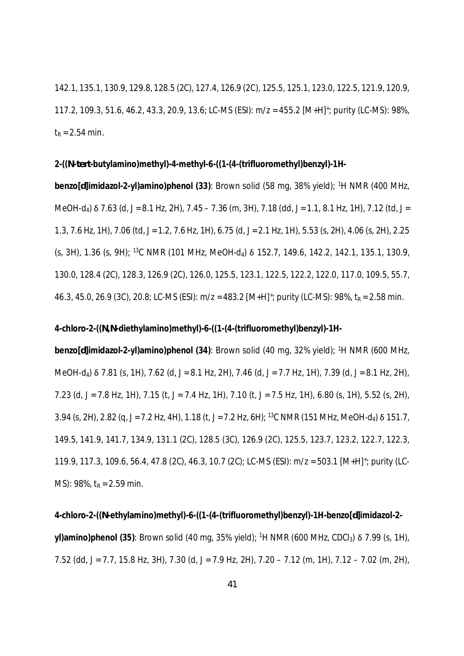142.1, 135.1, 130.9, 129.8, 128.5 (2C), 127.4, 126.9 (2C), 125.5, 125.1, 123.0, 122.5, 121.9, 120.9, 117.2, 109.3, 51.6, 46.2, 43.3, 20.9, 13.6; LC-MS (ESI): *m/z* = 455.2 [M+H]<sup>+</sup> ; purity (LC-MS): 98%,  $t_R = 2.54$  min.

**2-((***N***-***tert***-butylamino)methyl)-4-methyl-6-((1-(4-(trifluoromethyl)benzyl)-1H-**

**benzo[***d***]imidazol-2-yl)amino)phenol (33)**: Brown solid (58 mg, 38% yield); <sup>1</sup>H NMR (400 MHz, MeOH-*d*4) ɷ 7.63 (d, *J* = 8.1 Hz, 2H), 7.45 – 7.36 (m, 3H), 7.18 (dd, *J* = 1.1, 8.1 Hz, 1H), 7.12 (td, *J* = 1.3, 7.6 Hz, 1H), 7.06 (td, *J* = 1.2, 7.6 Hz, 1H), 6.75 (d, *J* = 2.1 Hz, 1H), 5.53 (s, 2H), 4.06 (s, 2H), 2.25 (s, 3H), 1.36 (s, 9H); <sup>13</sup>C NMR (101 MHz, MeOH-*d*4) ɷ 152.7, 149.6, 142.2, 142.1, 135.1, 130.9, 130.0, 128.4 (2C), 128.3, 126.9 (2C), 126.0, 125.5, 123.1, 122.5, 122.2, 122.0, 117.0, 109.5, 55.7, 46.3, 45.0, 26.9 (3C), 20.8; LC-MS (ESI):  $m/z$  = 483.2 [M+H]<sup>+</sup>; purity (LC-MS): 98%, t<sub>R</sub> = 2.58 min.

**4-chloro-2-((***N***,***N***-diethylamino)methyl)-6-((1-(4-(trifluoromethyl)benzyl)-1H-**

**benzo[***d***]imidazol-2-yl)amino)phenol (34)**: Brown solid (40 mg, 32% yield); <sup>1</sup>H NMR (600 MHz, MeOH-*d*4) ɷ 7.81 (s, 1H), 7.62 (d, *J* = 8.1 Hz, 2H), 7.46 (d, *J* = 7.7 Hz, 1H), 7.39 (d, *J* = 8.1 Hz, 2H), 7.23 (d, *J* = 7.8 Hz, 1H), 7.15 (t, *J* = 7.4 Hz, 1H), 7.10 (t, *J* = 7.5 Hz, 1H), 6.80 (s, 1H), 5.52 (s, 2H), 3.94 (s, 2H), 2.82 (q, *J* = 7.2 Hz, 4H), 1.18 (t, *J* = 7.2 Hz, 6H); <sup>13</sup>C NMR (151 MHz, MeOH-*d*4) ɷ 151.7, 149.5, 141.9, 141.7, 134.9, 131.1 (2C), 128.5 (3C), 126.9 (2C), 125.5, 123.7, 123.2, 122.7, 122.3, 119.9, 117.3, 109.6, 56.4, 47.8 (2C), 46.3, 10.7 (2C); LC-MS (ESI):  $m/z$  = 503.1 [M+H]<sup>+</sup>; purity (LC-MS): 98%,  $t_R = 2.59$  min.

**4-chloro-2-((***N***-ethylamino)methyl)-6-((1-(4-(trifluoromethyl)benzyl)-1H-benzo[***d***]imidazol-2 yl)amino)phenol (35)**: Brown solid (40 mg, 35% yield); <sup>1</sup>H NMR (600 MHz, CDCl3) ɷ 7.99 (s, 1H), 7.52 (dd, *J* = 7.7, 15.8 Hz, 3H), 7.30 (d, *J* = 7.9 Hz, 2H), 7.20 – 7.12 (m, 1H), 7.12 – 7.02 (m, 2H),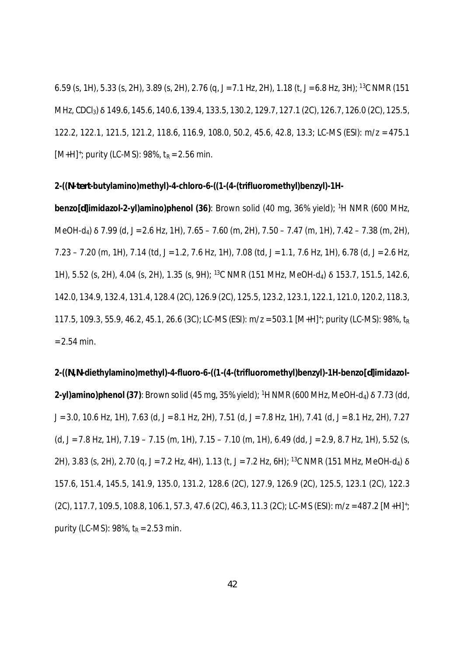6.59 (s, 1H), 5.33 (s, 2H), 3.89 (s, 2H), 2.76 (q, *J* = 7.1 Hz, 2H), 1.18 (t, *J* = 6.8 Hz, 3H); <sup>13</sup>C NMR (151 MHz, CDCl<sub>3</sub>) δ 149.6, 145.6, 140.6, 139.4, 133.5, 130.2, 129.7, 127.1 (2C), 126.7, 126.0 (2C), 125.5, 122.2, 122.1, 121.5, 121.2, 118.6, 116.9, 108.0, 50.2, 45.6, 42.8, 13.3; LC-MS (ESI): *m/z* = 475.1 [M+H]<sup>+</sup>; purity (LC-MS): 98%,  $t_R$  = 2.56 min.

**2-((***N***-***tert***-butylamino)methyl)-4-chloro-6-((1-(4-(trifluoromethyl)benzyl)-1H-**

**benzo[***d***]imidazol-2-yl)amino)phenol (36)**: Brown solid (40 mg, 36% yield); <sup>1</sup>H NMR (600 MHz, MeOH-*d*4) ɷ 7.99 (d, *J* = 2.6 Hz, 1H), 7.65 – 7.60 (m, 2H), 7.50 – 7.47 (m, 1H), 7.42 – 7.38 (m, 2H), 7.23 – 7.20 (m, 1H), 7.14 (td, *J* = 1.2, 7.6 Hz, 1H), 7.08 (td, *J* = 1.1, 7.6 Hz, 1H), 6.78 (d, *J* = 2.6 Hz, 1H), 5.52 (s, 2H), 4.04 (s, 2H), 1.35 (s, 9H); <sup>13</sup>C NMR (151 MHz, MeOH-*d*4) ɷ 153.7, 151.5, 142.6, 142.0, 134.9, 132.4, 131.4, 128.4 (2C), 126.9 (2C), 125.5, 123.2, 123.1, 122.1, 121.0, 120.2, 118.3, 117.5, 109.3, 55.9, 46.2, 45.1, 26.6 (3C); LC-MS (ESI):  $m/z$  = 503.1 [M+H]<sup>+</sup>; purity (LC-MS): 98%, t<sub>R</sub>  $= 2.54$  min.

**2-((***N***,***N***-diethylamino)methyl)-4-fluoro-6-((1-(4-(trifluoromethyl)benzyl)-1H-benzo[***d***]imidazol-2-yl)amino)phenol (37)**: Brown solid (45 mg, 35% yield); <sup>1</sup>H NMR (600 MHz, MeOH-*d*4) ɷ 7.73 (dd, *J* = 3.0, 10.6 Hz, 1H), 7.63 (d, *J* = 8.1 Hz, 2H), 7.51 (d, *J* = 7.8 Hz, 1H), 7.41 (d, *J* = 8.1 Hz, 2H), 7.27 (d, *J* = 7.8 Hz, 1H), 7.19 – 7.15 (m, 1H), 7.15 – 7.10 (m, 1H), 6.49 (dd, *J* = 2.9, 8.7 Hz, 1H), 5.52 (s, 2H), 3.83 (s, 2H), 2.70 (q, *J* = 7.2 Hz, 4H), 1.13 (t, *J* = 7.2 Hz, 6H); <sup>13</sup>C NMR (151 MHz, MeOH-*d*4) ɷ 157.6, 151.4, 145.5, 141.9, 135.0, 131.2, 128.6 (2C), 127.9, 126.9 (2C), 125.5, 123.1 (2C), 122.3 (2C), 117.7, 109.5, 108.8, 106.1, 57.3, 47.6 (2C), 46.3, 11.3 (2C); LC-MS (ESI): *m/z* = 487.2 [M+H]<sup>+</sup> ; purity (LC-MS): 98%,  $t_R = 2.53$  min.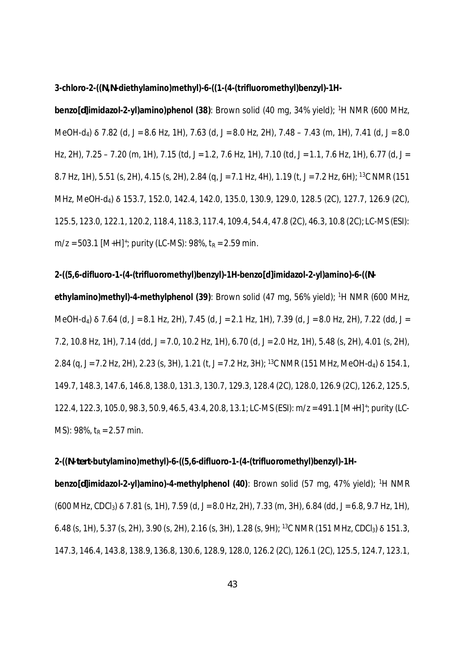**3-chloro-2-((***N***,***N***-diethylamino)methyl)-6-((1-(4-(trifluoromethyl)benzyl)-1H-**

**benzo[***d***]imidazol-2-yl)amino)phenol (38)**: Brown solid (40 mg, 34% yield); <sup>1</sup>H NMR (600 MHz, MeOH-*d*4) ɷ 7.82 (d, *J* = 8.6 Hz, 1H), 7.63 (d, *J* = 8.0 Hz, 2H), 7.48 – 7.43 (m, 1H), 7.41 (d, *J* = 8.0 Hz, 2H), 7.25 – 7.20 (m, 1H), 7.15 (td, *J* = 1.2, 7.6 Hz, 1H), 7.10 (td, *J* = 1.1, 7.6 Hz, 1H), 6.77 (d, *J* = 8.7 Hz, 1H), 5.51 (s, 2H), 4.15 (s, 2H), 2.84 (q, *J* = 7.1 Hz, 4H), 1.19 (t, *J* = 7.2 Hz, 6H); <sup>13</sup>C NMR (151 MHz, MeOH-*d*<sub>4</sub>) δ 153.7, 152.0, 142.4, 142.0, 135.0, 130.9, 129.0, 128.5 (2C), 127.7, 126.9 (2C), 125.5, 123.0, 122.1, 120.2, 118.4, 118.3, 117.4, 109.4, 54.4, 47.8 (2C), 46.3, 10.8 (2C); LC-MS (ESI): *m/z* = 503.1 [M+H]<sup>+</sup>; purity (LC-MS): 98%, t<sub>R</sub> = 2.59 min.

**2-((5,6-difluoro-1-(4-(trifluoromethyl)benzyl)-1H-benzo[d]imidazol-2-yl)amino)-6-((***N***-**

**ethylamino)methyl)-4-methylphenol (39)**: Brown solid (47 mg, 56% yield); <sup>1</sup>H NMR (600 MHz, MeOH-*d*4) ɷ 7.64 (d, *J* = 8.1 Hz, 2H), 7.45 (d, *J* = 2.1 Hz, 1H), 7.39 (d, *J* = 8.0 Hz, 2H), 7.22 (dd, *J* = 7.2, 10.8 Hz, 1H), 7.14 (dd, *J* = 7.0, 10.2 Hz, 1H), 6.70 (d, *J* = 2.0 Hz, 1H), 5.48 (s, 2H), 4.01 (s, 2H), 2.84 (q, *J* = 7.2 Hz, 2H), 2.23 (s, 3H), 1.21 (t, *J* = 7.2 Hz, 3H); <sup>13</sup>C NMR (151 MHz, MeOH-*d*4) ɷ 154.1, 149.7, 148.3, 147.6, 146.8, 138.0, 131.3, 130.7, 129.3, 128.4 (2C), 128.0, 126.9 (2C), 126.2, 125.5, 122.4, 122.3, 105.0, 98.3, 50.9, 46.5, 43.4, 20.8, 13.1; LC-MS (ESI): *m/z* = 491.1 [M+H]<sup>+</sup> ; purity (LC- $MS$ ): 98%,  $t_R = 2.57$  min.

**2-((***N***-***tert***-butylamino)methyl)-6-((5,6-difluoro-1-(4-(trifluoromethyl)benzyl)-1Hbenzo[***d***]imidazol-2-yl)amino)-4-methylphenol (40)**: Brown solid (57 mg, 47% yield); <sup>1</sup>H NMR (600 MHz, CDCl3) ɷ 7.81 (s, 1H), 7.59 (d, *J* = 8.0 Hz, 2H), 7.33 (m, 3H), 6.84 (dd, *J* = 6.8, 9.7 Hz, 1H), 6.48 (s, 1H), 5.37 (s, 2H), 3.90 (s, 2H), 2.16 (s, 3H), 1.28 (s, 9H); <sup>13</sup>C NMR (151 MHz, CDCl<sub>3</sub>)  $\delta$  151.3, 147.3, 146.4, 143.8, 138.9, 136.8, 130.6, 128.9, 128.0, 126.2 (2C), 126.1 (2C), 125.5, 124.7, 123.1,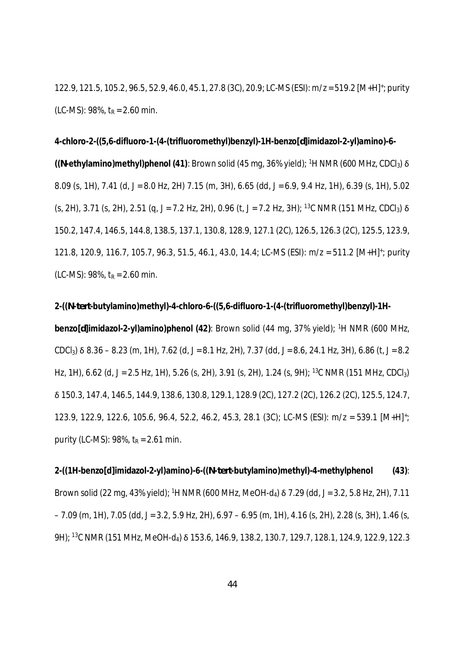122.9, 121.5, 105.2, 96.5, 52.9, 46.0, 45.1, 27.8 (3C), 20.9; LC-MS (ESI): *m/z* = 519.2 [M+H]<sup>+</sup> ; purity (LC-MS): 98%,  $t_R = 2.60$  min.

**4-chloro-2-((5,6-difluoro-1-(4-(trifluoromethyl)benzyl)-1H-benzo[***d***]imidazol-2-yl)amino)-6-**  $((N\text{-ethylamino})\text{methyl})\text{phenol } (41)$ : Brown solid (45 mg, 36% yield); <sup>1</sup>H NMR (600 MHz, CDCl<sub>3</sub>)  $\delta$ 8.09 (s, 1H), 7.41 (d, *J* = 8.0 Hz, 2H) 7.15 (m, 3H), 6.65 (dd, *J* = 6.9, 9.4 Hz, 1H), 6.39 (s, 1H), 5.02 (s, 2H), 3.71 (s, 2H), 2.51 (q, *J* = 7.2 Hz, 2H), 0.96 (t, *J* = 7.2 Hz, 3H); <sup>13</sup>C NMR (151 MHz, CDCl3) ɷ 150.2, 147.4, 146.5, 144.8, 138.5, 137.1, 130.8, 128.9, 127.1 (2C), 126.5, 126.3 (2C), 125.5, 123.9, 121.8, 120.9, 116.7, 105.7, 96.3, 51.5, 46.1, 43.0, 14.4; LC-MS (ESI): *m/z* = 511.2 [M+H]<sup>+</sup> ; purity (LC-MS): 98%,  $t_R = 2.60$  min.

**2-((***N***-***tert***-butylamino)methyl)-4-chloro-6-((5,6-difluoro-1-(4-(trifluoromethyl)benzyl)-1Hbenzo[***d***]imidazol-2-yl)amino)phenol (42)**: Brown solid (44 mg, 37% yield); <sup>1</sup>H NMR (600 MHz, CDCl3) ɷ 8.36 – 8.23 (m, 1H), 7.62 (d, *J* = 8.1 Hz, 2H), 7.37 (dd, *J* = 8.6, 24.1 Hz, 3H), 6.86 (t, *J* = 8.2 Hz, 1H), 6.62 (d, *J* = 2.5 Hz, 1H), 5.26 (s, 2H), 3.91 (s, 2H), 1.24 (s, 9H); <sup>13</sup>C NMR (151 MHz, CDCl3) ɷ 150.3, 147.4, 146.5, 144.9, 138.6, 130.8, 129.1, 128.9 (2C), 127.2 (2C), 126.2 (2C), 125.5, 124.7, 123.9, 122.9, 122.6, 105.6, 96.4, 52.2, 46.2, 45.3, 28.1 (3C); LC-MS (ESI): *m/z* = 539.1 [M+H]<sup>+</sup> ; purity (LC-MS): 98%,  $t_R = 2.61$  min.

**2-((1H-benzo[d]imidazol-2-yl)amino)-6-((***N***-***tert***-butylamino)methyl)-4-methylphenol (43)**: Brown solid (22 mg, 43% yield); <sup>1</sup>H NMR (600 MHz, MeOH-*d*4) ɷ 7.29 (dd, *J* = 3.2, 5.8 Hz, 2H), 7.11 – 7.09 (m, 1H), 7.05 (dd, *J* = 3.2, 5.9 Hz, 2H), 6.97 – 6.95 (m, 1H), 4.16 (s, 2H), 2.28 (s, 3H), 1.46 (s, 9H); <sup>13</sup>C NMR (151 MHz, MeOH-*d*<sub>4</sub>) & 153.6, 146.9, 138.2, 130.7, 129.7, 128.1, 124.9, 122.9, 122.3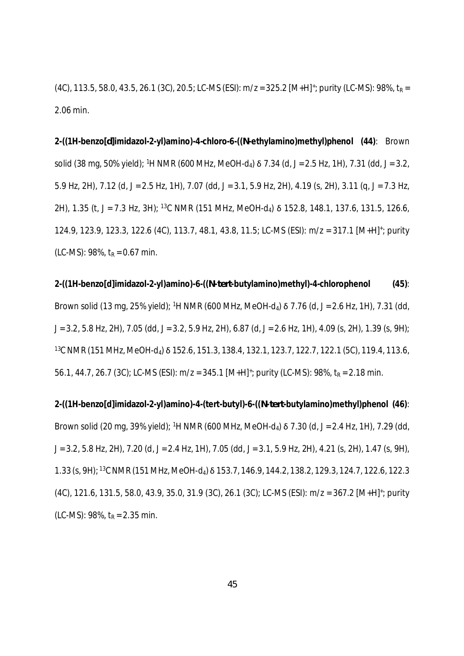(4C), 113.5, 58.0, 43.5, 26.1 (3C), 20.5; LC-MS (ESI):  $m/z$  = 325.2 [M+H]<sup>+</sup>; purity (LC-MS): 98%, t<sub>R</sub> = 2.06 min.

**2-((1H-benzo[***d***]imidazol-2-yl)amino)-4-chloro-6-((***N***-ethylamino)methyl)phenol (44)**: Brown solid (38 mg, 50% yield); <sup>1</sup>H NMR (600 MHz, MeOH-*d*4) ɷ 7.34 (d, *J* = 2.5 Hz, 1H), 7.31 (dd, *J* = 3.2, 5.9 Hz, 2H), 7.12 (d, *J* = 2.5 Hz, 1H), 7.07 (dd, *J* = 3.1, 5.9 Hz, 2H), 4.19 (s, 2H), 3.11 (q, *J* = 7.3 Hz, 2H), 1.35 (t, *J* = 7.3 Hz, 3H); <sup>13</sup>C NMR (151 MHz, MeOH-*d*4) ɷ 152.8, 148.1, 137.6, 131.5, 126.6, 124.9, 123.9, 123.3, 122.6 (4C), 113.7, 48.1, 43.8, 11.5; LC-MS (ESI): *m/z* = 317.1 [M+H]<sup>+</sup> ; purity  $(LC\text{-}MS): 98\%$ ,  $t_R = 0.67$  min.

**2-((1H-benzo[d]imidazol-2-yl)amino)-6-((***N***-***tert***-butylamino)methyl)-4-chlorophenol (45)**: Brown solid (13 mg, 25% yield); <sup>1</sup>H NMR (600 MHz, MeOH-*d*4) ɷ 7.76 (d, *J* = 2.6 Hz, 1H), 7.31 (dd, *J* = 3.2, 5.8 Hz, 2H), 7.05 (dd, *J* = 3.2, 5.9 Hz, 2H), 6.87 (d, *J* = 2.6 Hz, 1H), 4.09 (s, 2H), 1.39 (s, 9H); <sup>13</sup>C NMR (151 MHz, MeOH-*d*<sub>4</sub>) δ 152.6, 151.3, 138.4, 132.1, 123.7, 122.7, 122.1 (5C), 119.4, 113.6, 56.1, 44.7, 26.7 (3C); LC-MS (ESI):  $m/z$  = 345.1 [M+H]<sup>+</sup>; purity (LC-MS): 98%, t<sub>R</sub> = 2.18 min.

**2-((1H-benzo[d]imidazol-2-yl)amino)-4-(tert-butyl)-6-((***N***-***tert***-butylamino)methyl)phenol (46)**: Brown solid (20 mg, 39% yield); <sup>1</sup>H NMR (600 MHz, MeOH-*d*4) ɷ 7.30 (d, *J* = 2.4 Hz, 1H), 7.29 (dd, *J* = 3.2, 5.8 Hz, 2H), 7.20 (d, *J* = 2.4 Hz, 1H), 7.05 (dd, *J* = 3.1, 5.9 Hz, 2H), 4.21 (s, 2H), 1.47 (s, 9H), 1.33 (s, 9H); <sup>13</sup>C NMR (151 MHz, MeOH-*d*4) ɷ 153.7, 146.9, 144.2, 138.2, 129.3, 124.7, 122.6, 122.3 (4C), 121.6, 131.5, 58.0, 43.9, 35.0, 31.9 (3C), 26.1 (3C); LC-MS (ESI): *m/z* = 367.2 [M+H]<sup>+</sup> ; purity  $(LC\text{-MS}): 98\%$ ,  $t_R = 2.35$  min.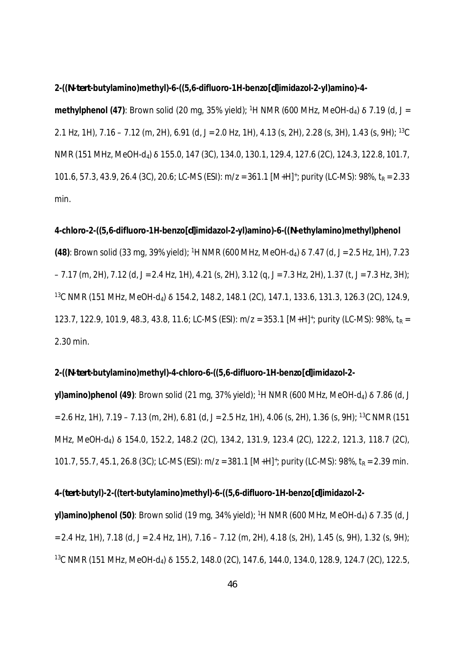**2-((***N***-***tert***-butylamino)methyl)-6-((5,6-difluoro-1H-benzo[***d***]imidazol-2-yl)amino)-4-**

**methylphenol (47)**: Brown solid (20 mg, 35% yield); <sup>1</sup>H NMR (600 MHz, MeOH-*d*4) ɷ 7.19 (d, *J* = 2.1 Hz, 1H), 7.16 – 7.12 (m, 2H), 6.91 (d, *J* = 2.0 Hz, 1H), 4.13 (s, 2H), 2.28 (s, 3H), 1.43 (s, 9H); <sup>13</sup>C NMR (151 MHz, MeOH-*d*4) ɷ 155.0, 147 (3C), 134.0, 130.1, 129.4, 127.6 (2C), 124.3, 122.8, 101.7, 101.6, 57.3, 43.9, 26.4 (3C), 20.6; LC-MS (ESI):  $m/z = 361.1$  [M+H]<sup>+</sup>; purity (LC-MS): 98%, t<sub>R</sub> = 2.33 min.

**4-chloro-2-((5,6-difluoro-1H-benzo[***d***]imidazol-2-yl)amino)-6-((***N***-ethylamino)methyl)phenol (48)**: Brown solid (33 mg, 39% yield); <sup>1</sup>H NMR (600 MHz, MeOH-*d*4) ɷ 7.47 (d, *J* = 2.5 Hz, 1H), 7.23 – 7.17 (m, 2H), 7.12 (d, *J* = 2.4 Hz, 1H), 4.21 (s, 2H), 3.12 (q, *J* = 7.3 Hz, 2H), 1.37 (t, *J* = 7.3 Hz, 3H); <sup>13</sup>C NMR (151 MHz, MeOH-*d*<sub>4</sub>) δ 154.2, 148.2, 148.1 (2C), 147.1, 133.6, 131.3, 126.3 (2C), 124.9, 123.7, 122.9, 101.9, 48.3, 43.8, 11.6; LC-MS (ESI):  $m/z = 353.1$  [M+H]<sup>+</sup>; purity (LC-MS): 98%, t<sub>R</sub> = 2.30 min.

**2-((***N***-***tert***-butylamino)methyl)-4-chloro-6-((5,6-difluoro-1H-benzo[***d***]imidazol-2-**

**yl)amino)phenol (49)**: Brown solid (21 mg, 37% yield); <sup>1</sup>H NMR (600 MHz, MeOH-*d*4) ɷ 7.86 (d, *J* = 2.6 Hz, 1H), 7.19 – 7.13 (m, 2H), 6.81 (d, *J* = 2.5 Hz, 1H), 4.06 (s, 2H), 1.36 (s, 9H); <sup>13</sup>C NMR (151 MHz, MeOH-*d*<sub>4</sub>) δ 154.0, 152.2, 148.2 (2C), 134.2, 131.9, 123.4 (2C), 122.2, 121.3, 118.7 (2C), 101.7, 55.7, 45.1, 26.8 (3C); LC-MS (ESI):  $m/z = 381.1$  [M+H]<sup>+</sup>; purity (LC-MS): 98%, t<sub>R</sub> = 2.39 min.

**4-(***tert***-butyl)-2-((tert-butylamino)methyl)-6-((5,6-difluoro-1H-benzo[***d***]imidazol-2 yl)amino)phenol (50)**: Brown solid (19 mg, 34% yield); <sup>1</sup>H NMR (600 MHz, MeOH-*d*4) ɷ 7.35 (d, *J* = 2.4 Hz, 1H), 7.18 (d, *J* = 2.4 Hz, 1H), 7.16 – 7.12 (m, 2H), 4.18 (s, 2H), 1.45 (s, 9H), 1.32 (s, 9H); <sup>13</sup>C NMR (151 MHz, MeOH-*d*<sub>4</sub>) δ 155.2, 148.0 (2C), 147.6, 144.0, 134.0, 128.9, 124.7 (2C), 122.5,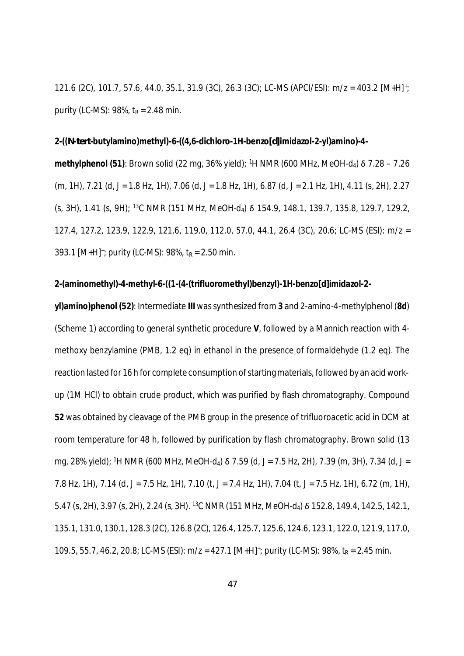121.6 (2C), 101.7, 57.6, 44.0, 35.1, 31.9 (3C), 26.3 (3C); LC-MS (APCI/ESI): *m/z* = 403.2 [M+H]<sup>+</sup> ; purity (LC-MS): 98%,  $t_R = 2.48$  min.

**2-((***N***-***tert***-butylamino)methyl)-6-((4,6-dichloro-1H-benzo[***d***]imidazol-2-yl)amino)-4 methylphenol (51)**: Brown solid (22 mg, 36% yield); <sup>1</sup>H NMR (600 MHz, MeOH-*d*4) ɷ 7.28 – 7.26 (m, 1H), 7.21 (d, *J* = 1.8 Hz, 1H), 7.06 (d, *J* = 1.8 Hz, 1H), 6.87 (d, *J* = 2.1 Hz, 1H), 4.11 (s, 2H), 2.27 (s, 3H), 1.41 (s, 9H); <sup>13</sup>C NMR (151 MHz, MeOH-*d*4) ɷ 154.9, 148.1, 139.7, 135.8, 129.7, 129.2, 127.4, 127.2, 123.9, 122.9, 121.6, 119.0, 112.0, 57.0, 44.1, 26.4 (3C), 20.6; LC-MS (ESI): *m/z* = 393.1 [M+H]<sup>+</sup>; purity (LC-MS): 98%,  $t_R$  = 2.50 min.

**2-(aminomethyl)-4-methyl-6-((1-(4-(trifluoromethyl)benzyl)-1H-benzo[d]imidazol-2-**

**yl)amino)phenol (52)**: Intermediate **III** was synthesized from **3** and 2-amino-4-methylphenol (**8d**) (Scheme 1) according to general synthetic procedure **V**, followed by a Mannich reaction with 4 methoxy benzylamine (PMB, 1.2 eq) in ethanol in the presence of formaldehyde (1.2 eq). The reaction lasted for 16 h for complete consumption of starting materials, followed by an acid workup (1M HCl) to obtain crude product, which was purified by flash chromatography. Compound **52** was obtained by cleavage of the PMB group in the presence of trifluoroacetic acid in DCM at room temperature for 48 h, followed by purification by flash chromatography. Brown solid (13 mg, 28% yield); <sup>1</sup>H NMR (600 MHz, MeOH-*d*4) ɷ 7.59 (d, *J* = 7.5 Hz, 2H), 7.39 (m, 3H), 7.34 (d, *J* = 7.8 Hz, 1H), 7.14 (d, *J* = 7.5 Hz, 1H), 7.10 (t, *J* = 7.4 Hz, 1H), 7.04 (t, *J* = 7.5 Hz, 1H), 6.72 (m, 1H), 5.47 (s, 2H), 3.97 (s, 2H), 2.24 (s, 3H). <sup>13</sup>C NMR (151 MHz, MeOH-*d*4) ɷ 152.8, 149.4, 142.5, 142.1, 135.1, 131.0, 130.1, 128.3 (2C), 126.8 (2C), 126.4, 125.7, 125.6, 124.6, 123.1, 122.0, 121.9, 117.0, 109.5, 55.7, 46.2, 20.8; LC-MS (ESI):  $m/z$  = 427.1 [M+H]<sup>+</sup>; purity (LC-MS): 98%, t<sub>R</sub> = 2.45 min.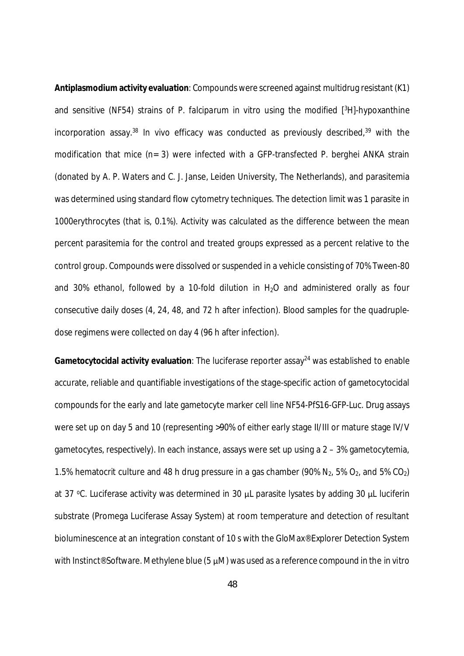**Antiplasmodium activity evaluation**: Compounds were screened against multidrug resistant (K1) and sensitive (NF54) strains of *P. falciparum in vitro* using the modified [<sup>3</sup>H]-hypoxanthine incorporation assay.<sup>38</sup> *In vivo* efficacy was conducted as previously described,<sup>39</sup> with the modification that mice (n= 3) were infected with a GFP-transfected *P. berghei* ANKA strain (donated by A. P. Waters and C. J. Janse, Leiden University, The Netherlands), and parasitemia was determined using standard flow cytometry techniques. The detection limit was 1 parasite in 1000erythrocytes (that is, 0.1%). Activity was calculated as the difference between the mean percent parasitemia for the control and treated groups expressed as a percent relative to the control group. Compounds were dissolved or suspended in a vehicle consisting of 70% Tween-80 and 30% ethanol, followed by a 10-fold dilution in  $H_2O$  and administered orally as four consecutive daily doses (4, 24, 48, and 72 h after infection). Blood samples for the quadrupledose regimens were collected on day 4 (96 h after infection).

Gametocytocidal activity evaluation: The luciferase reporter assay<sup>24</sup> was established to enable accurate, reliable and quantifiable investigations of the stage-specific action of gametocytocidal compounds for the early and late gametocyte marker cell line NF54-PfS16-GFP-Luc. Drug assays were set up on day 5 and 10 (representing >90% of either early stage II/III or mature stage IV/V gametocytes, respectively). In each instance, assays were set up using a 2 – 3% gametocytemia, 1.5% hematocrit culture and 48 h drug pressure in a gas chamber (90%  $N_2$ , 5%  $O_2$ , and 5% CO<sub>2</sub>) at 37 °C. Luciferase activity was determined in 30 µL parasite lysates by adding 30 µL luciferin substrate (Promega Luciferase Assay System) at room temperature and detection of resultant bioluminescence at an integration constant of 10 s with the GloMax® Explorer Detection System with Instinct<sup>®</sup> Software. Methylene blue (5 μM) was used as a reference compound in the *in vitro*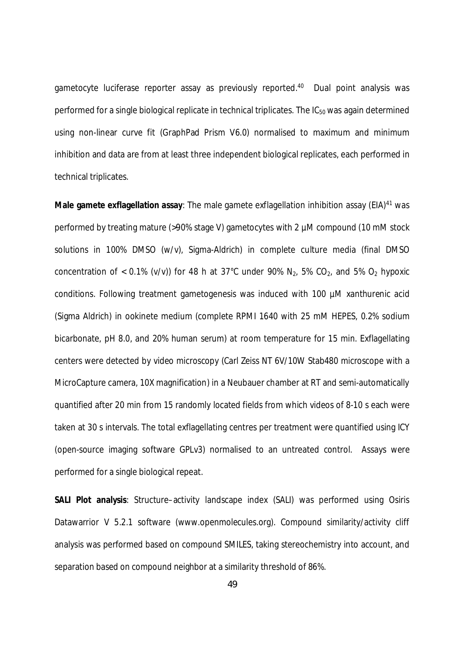gametocyte luciferase reporter assay as previously reported.<sup>40</sup> Dual point analysis was performed for a single biological replicate in technical triplicates. The  $IC_{50}$  was again determined using non-linear curve fit (GraphPad Prism V6.0) normalised to maximum and minimum inhibition and data are from at least three independent biological replicates, each performed in technical triplicates.

Male gamete exflagellation assay: The male gamete exflagellation inhibition assay (EIA)<sup>41</sup> was performed by treating mature (>90% stage V) gametocytes with 2 µM compound (10 mM stock solutions in 100% DMSO (w/v), Sigma-Aldrich) in complete culture media (final DMSO concentration of < 0.1% (v/v)) for 48 h at 37°C under 90%  $N_{2}$ , 5% CO<sub>2</sub>, and 5% O<sub>2</sub> hypoxic conditions. Following treatment gametogenesis was induced with 100 µM xanthurenic acid (Sigma Aldrich) in ookinete medium (complete RPMI 1640 with 25 mM HEPES, 0.2% sodium bicarbonate, pH 8.0, and 20% human serum) at room temperature for 15 min. Exflagellating centers were detected by video microscopy (Carl Zeiss NT 6V/10W Stab480 microscope with a MicroCapture camera, 10X magnification) in a Neubauer chamber at RT and semi-automatically quantified after 20 min from 15 randomly located fields from which videos of 8-10 s each were taken at 30 s intervals. The total exflagellating centres per treatment were quantified using ICY (open-source imaging software GPLv3) normalised to an untreated control. Assays were performed for a single biological repeat.

**SALI Plot analysis**: Structure–activity landscape index (SALI) was performed using Osiris Datawarrior V 5.2.1 software ([www.openmolecules.org\).](http://www.openmolecules.org)./) Compound similarity/activity cliff analysis was performed based on compound SMILES, taking stereochemistry into account, and separation based on compound neighbor at a similarity threshold of 86%.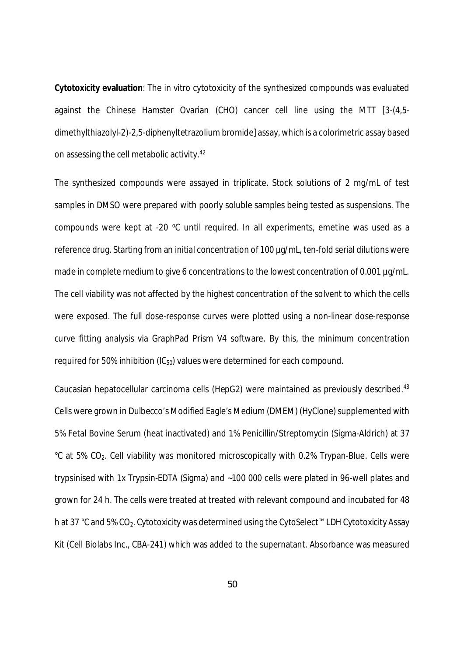**Cytotoxicity evaluation**: The *in vitro* cytotoxicity of the synthesized compounds was evaluated against the Chinese Hamster Ovarian (CHO) cancer cell line using the MTT [3-(4,5 dimethylthiazolyl-2)-2,5-diphenyltetrazolium bromide] assay, which is a colorimetric assay based on assessing the cell metabolic activity.<sup>42</sup>

The synthesized compounds were assayed in triplicate. Stock solutions of 2 mg/mL of test samples in DMSO were prepared with poorly soluble samples being tested as suspensions. The compounds were kept at -20  $\degree$ C until required. In all experiments, emetine was used as a reference drug. Starting from an initial concentration of 100 µg/mL, ten-fold serial dilutions were made in complete medium to give 6 concentrations to the lowest concentration of 0.001 µg/mL. The cell viability was not affected by the highest concentration of the solvent to which the cells were exposed. The full dose-response curves were plotted using a non-linear dose-response curve fitting analysis via GraphPad Prism V4 software. By this, the minimum concentration required for 50% inhibition ( $IC_{50}$ ) values were determined for each compound.

Caucasian hepatocellular carcinoma cells (HepG2) were maintained as previously described.<sup>43</sup> Cells were grown in Dulbecco's Modified Eagle's Medium (DMEM) (HyClone) supplemented with 5% Fetal Bovine Serum (heat inactivated) and 1% Penicillin/Streptomycin (Sigma-Aldrich) at 37 °C at 5% CO2. Cell viability was monitored microscopically with 0.2% Trypan-Blue. Cells were trypsinised with 1x Trypsin-EDTA (Sigma) and ~100 000 cells were plated in 96-well plates and grown for 24 h. The cells were treated at treated with relevant compound and incubated for 48 h at 37 °C and 5% CO2. Cytotoxicity was determined using the CytoSelect™ LDH Cytotoxicity Assay Kit (Cell Biolabs Inc., CBA-241) which was added to the supernatant. Absorbance was measured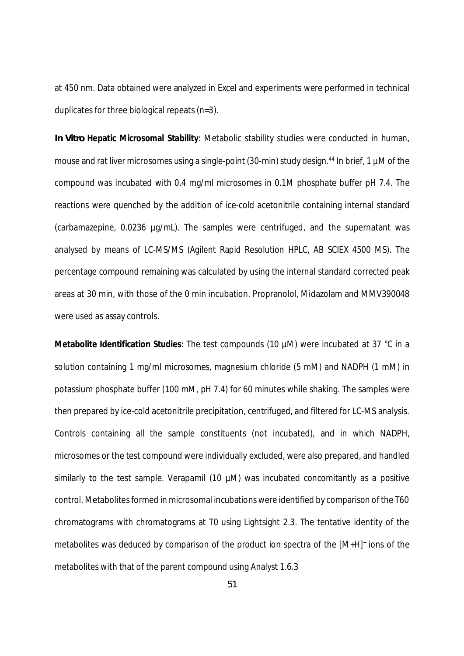at 450 nm. Data obtained were analyzed in Excel and experiments were performed in technical duplicates for three biological repeats (n=3).

*In Vitro* **Hepatic Microsomal Stability**: Metabolic stability studies were conducted in human, mouse and rat liver microsomes using a single-point (30-min) study design.<sup>44</sup> In brief, 1 µM of the compound was incubated with 0.4 mg/ml microsomes in 0.1M phosphate buffer pH 7.4. The reactions were quenched by the addition of ice-cold acetonitrile containing internal standard (carbamazepine, 0.0236 µg/mL). The samples were centrifuged, and the supernatant was analysed by means of LC-MS/MS (Agilent Rapid Resolution HPLC, AB SCIEX 4500 MS). The percentage compound remaining was calculated by using the internal standard corrected peak areas at 30 min, with those of the 0 min incubation. Propranolol, Midazolam and MMV390048 were used as assay controls.

**Metabolite Identification Studies**: The test compounds (10 µM) were incubated at 37 °C in a solution containing 1 mg/ml microsomes, magnesium chloride (5 mM) and NADPH (1 mM) in potassium phosphate buffer (100 mM, pH 7.4) for 60 minutes while shaking. The samples were then prepared by ice-cold acetonitrile precipitation, centrifuged, and filtered for LC-MS analysis. Controls containing all the sample constituents (not incubated), and in which NADPH, microsomes or the test compound were individually excluded, were also prepared, and handled similarly to the test sample. Verapamil (10 µM) was incubated concomitantly as a positive control. Metabolites formed in microsomal incubations were identified by comparison of the T60 chromatograms with chromatograms at T0 using Lightsight 2.3. The tentative identity of the metabolites was deduced by comparison of the product ion spectra of the [M+H]<sup>+</sup> ions of the metabolites with that of the parent compound using Analyst 1.6.3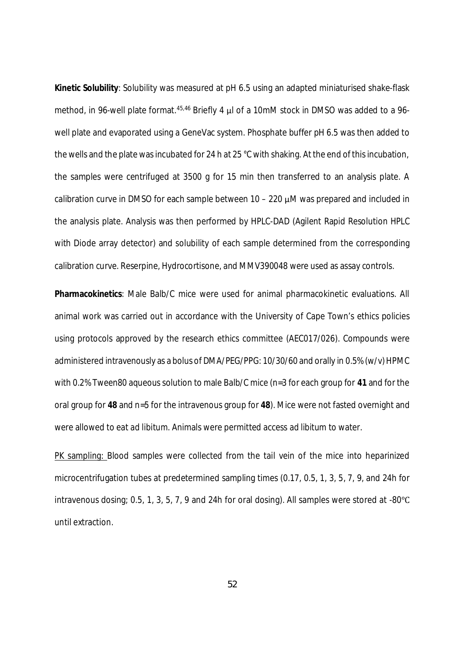**Kinetic Solubility**: Solubility was measured at pH 6.5 using an adapted miniaturised shake-flask method, in 96-well plate format.<sup>45,46</sup> Briefly 4 µl of a 10mM stock in DMSO was added to a 96well plate and evaporated using a GeneVac system. Phosphate buffer pH 6.5 was then added to the wells and the plate was incubated for 24 h at 25 °C with shaking. At the end of this incubation, the samples were centrifuged at 3500 g for 15 min then transferred to an analysis plate. A calibration curve in DMSO for each sample between  $10 - 220 \mu M$  was prepared and included in the analysis plate. Analysis was then performed by HPLC-DAD (Agilent Rapid Resolution HPLC with Diode array detector) and solubility of each sample determined from the corresponding calibration curve. Reserpine, Hydrocortisone, and MMV390048 were used as assay controls.

**Pharmacokinetics**: Male Balb/C mice were used for animal pharmacokinetic evaluations. All animal work was carried out in accordance with the University of Cape Town's ethics policies using protocols approved by the research ethics committee (AEC017/026). Compounds were administered intravenously as a bolus of DMA/PEG/PPG: 10/30/60 and orally in 0.5% (w/v) HPMC with 0.2% Tween80 aqueous solution to male Balb/C mice (n=3 for each group for **41** and for the oral group for **48** and n=5 for the intravenous group for **48**). Mice were not fasted overnight and were allowed to eat *ad libitum*. Animals were permitted access *ad libitum* to water.

PK sampling: Blood samples were collected from the tail vein of the mice into heparinized microcentrifugation tubes at predetermined sampling times (0.17, 0.5, 1, 3, 5, 7, 9, and 24h for intravenous dosing; 0.5, 1, 3, 5, 7, 9 and 24h for oral dosing). All samples were stored at -80 $^{\circ}$ C until extraction.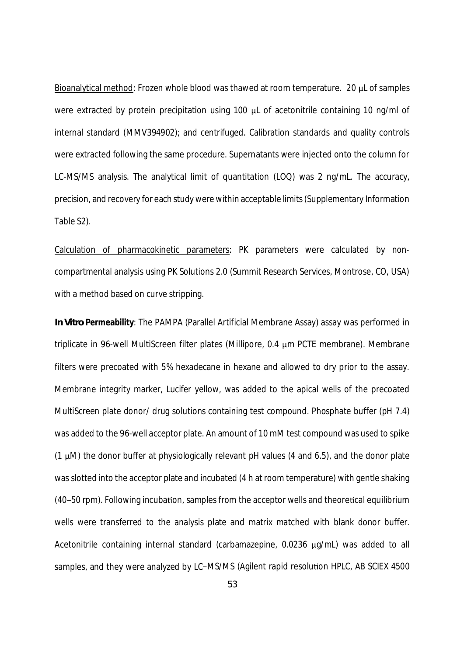Bioanalytical method: Frozen whole blood was thawed at room temperature. 20 µL of samples were extracted by protein precipitation using 100 µL of acetonitrile containing 10 ng/ml of internal standard (MMV394902); and centrifuged. Calibration standards and quality controls were extracted following the same procedure. Supernatants were injected onto the column for LC-MS/MS analysis. The analytical limit of quantitation (LOQ) was 2 ng/mL. The accuracy, precision, and recovery for each study were within acceptable limits (Supplementary Information Table S2).

Calculation of pharmacokinetic parameters: PK parameters were calculated by noncompartmental analysis using PK Solutions 2.0 (Summit Research Services, Montrose, CO, USA) with a method based on curve stripping.

*In Vitro* **Permeability**: The PAMPA (Parallel Artificial Membrane Assay) assay was performed in triplicate in 96-well MultiScreen filter plates (Millipore, 0.4 µm PCTE membrane). Membrane filters were precoated with 5% hexadecane in hexane and allowed to dry prior to the assay. Membrane integrity marker, Lucifer yellow, was added to the apical wells of the precoated MultiScreen plate donor/ drug solutions containing test compound. Phosphate buffer (pH 7.4) was added to the 96-well acceptor plate. An amount of 10 mM test compound was used to spike (1  $\mu$ M) the donor buffer at physiologically relevant pH values (4 and 6.5), and the donor plate was slotted into the acceptor plate and incubated (4 h at room temperature) with gentle shaking (40-50 rpm). Following incubation, samples from the acceptor wells and theoretical equilibrium wells were transferred to the analysis plate and matrix matched with blank donor buffer. Acetonitrile containing internal standard (carbamazepine, 0.0236 µg/mL) was added to all samples, and they were analyzed by LC-MS/MS (Agilent rapid resolution HPLC, AB SCIEX 4500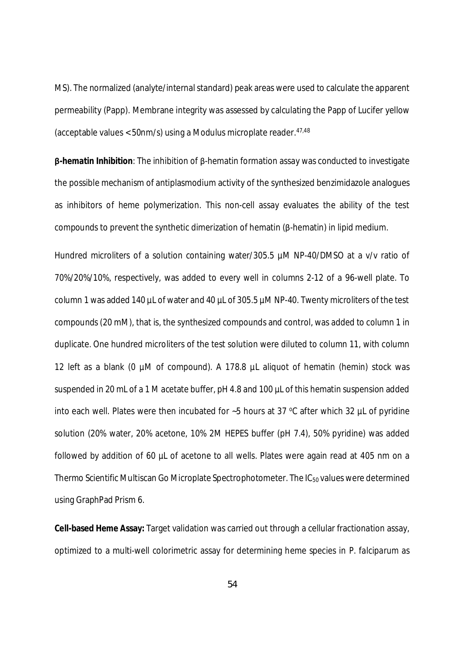MS). The normalized (analyte/internal standard) peak areas were used to calculate the apparent permeability (Papp). Membrane integrity was assessed by calculating the Papp of Lucifer yellow (acceptable values < 50nm/s) using a Modulus microplate reader.  $47,48$ 

**β**-hematin Inhibition: The inhibition of β-hematin formation assay was conducted to investigate the possible mechanism of antiplasmodium activity of the synthesized benzimidazole analogues as inhibitors of heme polymerization. This non-cell assay evaluates the ability of the test compounds to prevent the synthetic dimerization of hematin  $(\beta$ -hematin) in lipid medium.

Hundred microliters of a solution containing water/305.5  $\mu$ M NP-40/DMSO at a v/v ratio of 70%/20%/10%, respectively, was added to every well in columns 2-12 of a 96-well plate. To column 1 was added 140 µL of water and 40 µL of 305.5 µM NP-40. Twenty microliters of the test compounds (20 mM), that is, the synthesized compounds and control, was added to column 1 in duplicate. One hundred microliters of the test solution were diluted to column 11, with column 12 left as a blank (0 µM of compound). A 178.8 µL aliquot of hematin (hemin) stock was suspended in 20 mL of a 1 M acetate buffer, pH 4.8 and 100 µL of this hematin suspension added into each well. Plates were then incubated for  $\sim$  5 hours at 37  $\degree$ C after which 32 µL of pyridine solution (20% water, 20% acetone, 10% 2M HEPES buffer (pH 7.4), 50% pyridine) was added followed by addition of 60 µL of acetone to all wells. Plates were again read at 405 nm on a Thermo Scientific Multiscan Go Microplate Spectrophotometer. The IC<sub>50</sub> values were determined using GraphPad Prism 6.

**Cell-based Heme Assay:** Target validation was carried out through a cellular fractionation assay, optimized to a multi-well colorimetric assay for determining heme species in *P. falciparum* as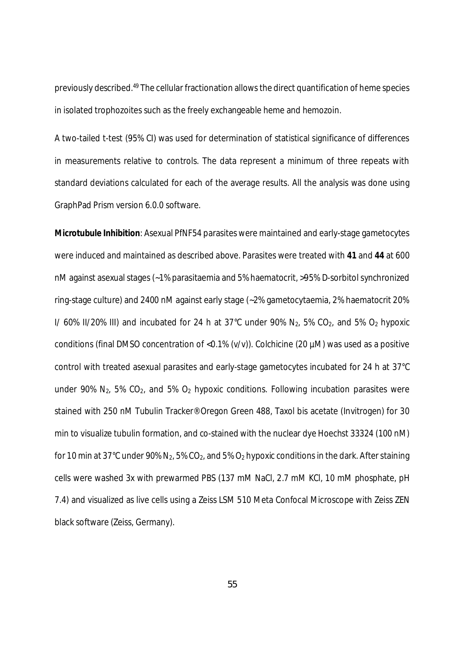previously described.<sup>49</sup> The cellular fractionation allows the direct quantification of heme species in isolated trophozoites such as the freely exchangeable heme and hemozoin.

A two-tailed t-test (95% CI) was used for determination of statistical significance of differences in measurements relative to controls. The data represent a minimum of three repeats with standard deviations calculated for each of the average results. All the analysis was done using GraphPad Prism version 6.0.0 software.

**Microtubule Inhibition**: Asexual *Pf*NF54 parasites were maintained and early-stage gametocytes were induced and maintained as described above. Parasites were treated with **41** and **44** at 600 nM against asexual stages (~1% parasitaemia and 5% haematocrit, >95% D-sorbitol synchronized ring-stage culture) and 2400 nM against early stage (~2% gametocytaemia, 2% haematocrit 20% I/ 60% II/20% III) and incubated for 24 h at 37°C under 90% N<sub>2</sub>, 5% CO<sub>2</sub>, and 5% O<sub>2</sub> hypoxic conditions (final DMSO concentration of <0.1% (v/v)). Colchicine (20 µM) was used as a positive control with treated asexual parasites and early-stage gametocytes incubated for 24 h at 37°C under 90%  $N_2$ , 5% CO<sub>2</sub>, and 5% O<sub>2</sub> hypoxic conditions. Following incubation parasites were stained with 250 nM Tubulin Tracker® Oregon Green 488, Taxol bis acetate (Invitrogen) for 30 min to visualize tubulin formation, and co-stained with the nuclear dye Hoechst 33324 (100 nM) for 10 min at 37°C under 90% N<sub>2</sub>, 5% CO<sub>2</sub>, and 5% O<sub>2</sub> hypoxic conditions in the dark. After staining cells were washed 3x with prewarmed PBS (137 mM NaCl, 2.7 mM KCl, 10 mM phosphate, pH 7.4) and visualized as live cells using a Zeiss LSM 510 Meta Confocal Microscope with Zeiss ZEN black software (Zeiss, Germany).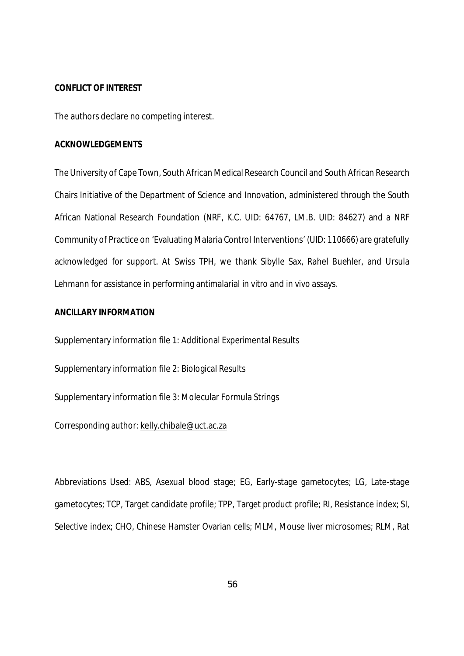#### **CONFLICT OF INTEREST**

The authors declare no competing interest.

# **ACKNOWLEDGEMENTS**

The University of Cape Town, South African Medical Research Council and South African Research Chairs Initiative of the Department of Science and Innovation, administered through the South African National Research Foundation (NRF, K.C. UID: 64767, LM.B. UID: 84627) and a NRF Community of Practice on 'Evaluating Malaria Control Interventions' (UID: 110666) are gratefully acknowledged for support. At Swiss TPH, we thank Sibylle Sax, Rahel Buehler, and Ursula Lehmann for assistance in performing antimalarial *in vitro* and *in vivo* assays.

# **ANCILLARY INFORMATION**

Supplementary information file 1: Additional Experimental Results

Supplementary information file 2: Biological Results

Supplementary information file 3: Molecular Formula Strings

Corresponding author: [kelly.chibale@uct.ac.za](mailto:kelly.chibale:@uct.ac.za)

Abbreviations Used: ABS, Asexual blood stage; EG, Early-stage gametocytes; LG, Late-stage gametocytes; TCP, Target candidate profile; TPP, Target product profile; RI, Resistance index; SI, Selective index; CHO, Chinese Hamster Ovarian cells; MLM, Mouse liver microsomes; RLM, Rat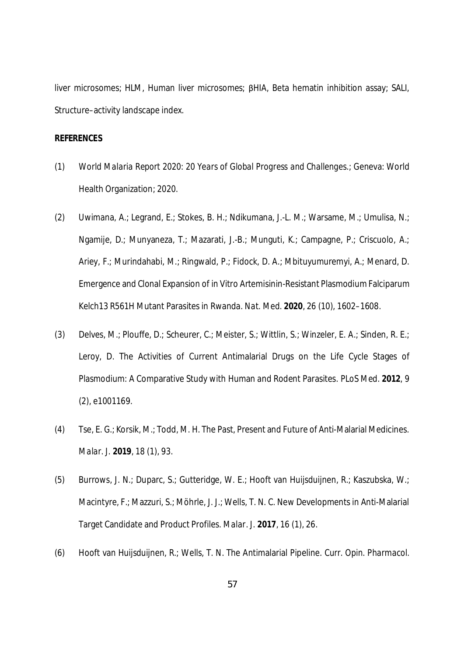liver microsomes; HLM, Human liver microsomes; βHIA, Beta hematin inhibition assay; SALI, Structure–activity landscape index.

#### **REFERENCES**

- (1) *World Malaria Report 2020: 20 Years of Global Progress and Challenges.*; Geneva: World Health Organization; 2020.
- (2) Uwimana, A.; Legrand, E.; Stokes, B. H.; Ndikumana, J.-L. M.; Warsame, M.; Umulisa, N.; Ngamije, D.; Munyaneza, T.; Mazarati, J.-B.; Munguti, K.; Campagne, P.; Criscuolo, A.; Ariey, F.; Murindahabi, M.; Ringwald, P.; Fidock, D. A.; Mbituyumuremyi, A.; Menard, D. Emergence and Clonal Expansion of in Vitro Artemisinin-Resistant Plasmodium Falciparum Kelch13 R561H Mutant Parasites in Rwanda. *Nat. Med.* **2020**, *26* (10), 1602–1608.
- (3) Delves, M.; Plouffe, D.; Scheurer, C.; Meister, S.; Wittlin, S.; Winzeler, E. A.; Sinden, R. E.; Leroy, D. The Activities of Current Antimalarial Drugs on the Life Cycle Stages of Plasmodium: A Comparative Study with Human and Rodent Parasites. *PLoS Med.* **2012**, *9* (2), e1001169.
- (4) Tse, E. G.; Korsik, M.; Todd, M. H. The Past, Present and Future of Anti-Malarial Medicines. *Malar. J.* **2019**, *18* (1), 93.
- (5) Burrows, J. N.; Duparc, S.; Gutteridge, W. E.; Hooft van Huijsduijnen, R.; Kaszubska, W.; Macintyre, F.; Mazzuri, S.; Möhrle, J. J.; Wells, T. N. C. New Developments in Anti-Malarial Target Candidate and Product Profiles. *Malar. J.* **2017**, *16* (1), 26.
- (6) Hooft van Huijsduijnen, R.; Wells, T. N. The Antimalarial Pipeline. *Curr. Opin. Pharmacol.*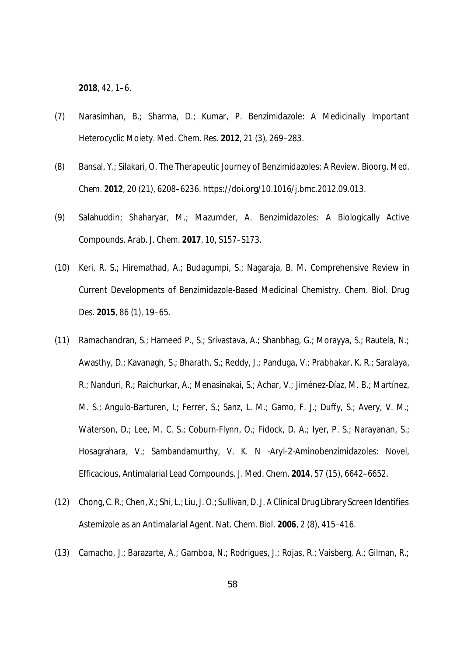**2018**, *42*, 1–6.

- (7) Narasimhan, B.; Sharma, D.; Kumar, P. Benzimidazole: A Medicinally Important Heterocyclic Moiety. *Med. Chem. Res.* **2012**, *21* (3), 269–283.
- (8) Bansal, Y.; Silakari, O. The Therapeutic Journey of Benzimidazoles: A Review. *Bioorg. Med. Chem.* **2012**, *20* (21), 6208–6236.<https://doi.org/10.1016/j.bmc.2012.09.013.>
- (9) Salahuddin; Shaharyar, M.; Mazumder, A. Benzimidazoles: A Biologically Active Compounds. *Arab. J. Chem.* **2017**, *10*, S157–S173.
- (10) Keri, R. S.; Hiremathad, A.; Budagumpi, S.; Nagaraja, B. M. Comprehensive Review in Current Developments of Benzimidazole-Based Medicinal Chemistry. *Chem. Biol. Drug Des.* **2015**, *86* (1), 19–65.
- (11) Ramachandran, S.; Hameed P., S.; Srivastava, A.; Shanbhag, G.; Morayya, S.; Rautela, N.; Awasthy, D.; Kavanagh, S.; Bharath, S.; Reddy, J.; Panduga, V.; Prabhakar, K. R.; Saralaya, R.; Nanduri, R.; Raichurkar, A.; Menasinakai, S.; Achar, V.; Jiménez-Díaz, M. B.; Martínez, M. S.; Angulo-Barturen, I.; Ferrer, S.; Sanz, L. M.; Gamo, F. J.; Duffy, S.; Avery, V. M.; Waterson, D.; Lee, M. C. S.; Coburn-Flynn, O.; Fidock, D. A.; Iyer, P. S.; Narayanan, S.; Hosagrahara, V.; Sambandamurthy, V. K. N -Aryl-2-Aminobenzimidazoles: Novel, Efficacious, Antimalarial Lead Compounds. *J. Med. Chem.* **2014**, *57* (15), 6642–6652.
- (12) Chong, C. R.; Chen, X.; Shi, L.; Liu, J. O.; Sullivan, D. J. A Clinical Drug Library Screen Identifies Astemizole as an Antimalarial Agent. *Nat. Chem. Biol.* **2006**, *2* (8), 415–416.
- (13) Camacho, J.; Barazarte, A.; Gamboa, N.; Rodrigues, J.; Rojas, R.; Vaisberg, A.; Gilman, R.;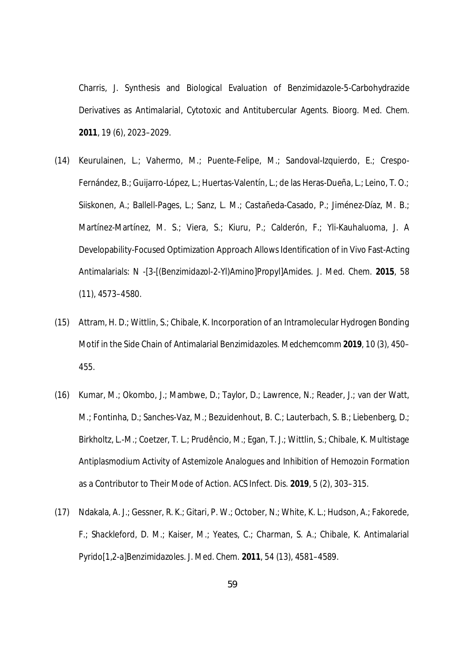Charris, J. Synthesis and Biological Evaluation of Benzimidazole-5-Carbohydrazide Derivatives as Antimalarial, Cytotoxic and Antitubercular Agents. *Bioorg. Med. Chem.* **2011**, *19* (6), 2023–2029.

- (14) Keurulainen, L.; Vahermo, M.; Puente-Felipe, M.; Sandoval-Izquierdo, E.; Crespo-Fernández, B.; Guijarro-López, L.; Huertas-Valentín, L.; de las Heras-Dueña, L.; Leino, T. O.; Siiskonen, A.; Ballell-Pages, L.; Sanz, L. M.; Castañeda-Casado, P.; Jiménez-Díaz, M. B.; Martínez-Martínez, M. S.; Viera, S.; Kiuru, P.; Calderón, F.; Yli-Kauhaluoma, J. A Developability-Focused Optimization Approach Allows Identification of in Vivo Fast-Acting Antimalarials: N -[3-[(Benzimidazol-2-Yl)Amino]Propyl]Amides. *J. Med. Chem.* **2015**, *58* (11), 4573–4580.
- (15) Attram, H. D.; Wittlin, S.; Chibale, K. Incorporation of an Intramolecular Hydrogen Bonding Motif in the Side Chain of Antimalarial Benzimidazoles. *Medchemcomm* **2019**, *10* (3), 450– 455.
- (16) Kumar, M.; Okombo, J.; Mambwe, D.; Taylor, D.; Lawrence, N.; Reader, J.; van der Watt, M.; Fontinha, D.; Sanches-Vaz, M.; Bezuidenhout, B. C.; Lauterbach, S. B.; Liebenberg, D.; Birkholtz, L.-M.; Coetzer, T. L.; Prudêncio, M.; Egan, T. J.; Wittlin, S.; Chibale, K. Multistage Antiplasmodium Activity of Astemizole Analogues and Inhibition of Hemozoin Formation as a Contributor to Their Mode of Action. *ACS Infect. Dis.* **2019**, *5* (2), 303–315.
- (17) Ndakala, A. J.; Gessner, R. K.; Gitari, P. W.; October, N.; White, K. L.; Hudson, A.; Fakorede, F.; Shackleford, D. M.; Kaiser, M.; Yeates, C.; Charman, S. A.; Chibale, K. Antimalarial Pyrido[1,2-a]Benzimidazoles. *J. Med. Chem.* **2011**, *54* (13), 4581–4589.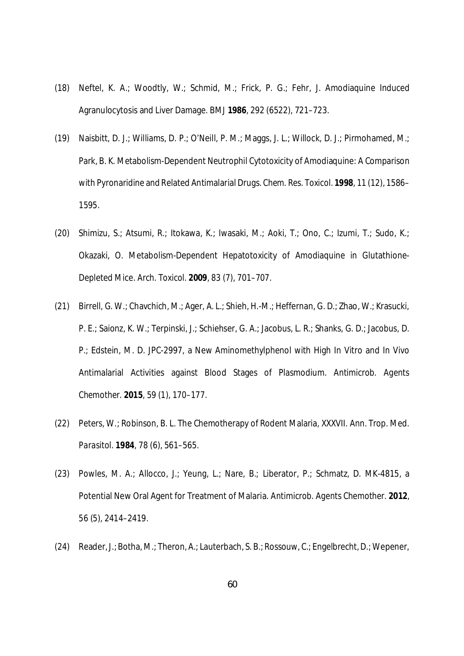- (18) Neftel, K. A.; Woodtly, W.; Schmid, M.; Frick, P. G.; Fehr, J. Amodiaquine Induced Agranulocytosis and Liver Damage. *BMJ* **1986**, *292* (6522), 721–723.
- (19) Naisbitt, D. J.; Williams, D. P.; O'Neill, P. M.; Maggs, J. L.; Willock, D. J.; Pirmohamed, M.; Park, B. K. Metabolism-Dependent Neutrophil Cytotoxicity of Amodiaquine: A Comparison with Pyronaridine and Related Antimalarial Drugs. *Chem. Res. Toxicol.* **1998**, *11* (12), 1586– 1595.
- (20) Shimizu, S.; Atsumi, R.; Itokawa, K.; Iwasaki, M.; Aoki, T.; Ono, C.; Izumi, T.; Sudo, K.; Okazaki, O. Metabolism-Dependent Hepatotoxicity of Amodiaquine in Glutathione-Depleted Mice. *Arch. Toxicol.* **2009**, *83* (7), 701–707.
- (21) Birrell, G. W.; Chavchich, M.; Ager, A. L.; Shieh, H.-M.; Heffernan, G. D.; Zhao, W.; Krasucki, P. E.; Saionz, K. W.; Terpinski, J.; Schiehser, G. A.; Jacobus, L. R.; Shanks, G. D.; Jacobus, D. P.; Edstein, M. D. JPC-2997, a New Aminomethylphenol with High In Vitro and In Vivo Antimalarial Activities against Blood Stages of Plasmodium. *Antimicrob. Agents Chemother.* **2015**, *59* (1), 170–177.
- (22) Peters, W.; Robinson, B. L. The Chemotherapy of Rodent Malaria, XXXVII. *Ann. Trop. Med. Parasitol.* **1984**, *78* (6), 561–565.
- (23) Powles, M. A.; Allocco, J.; Yeung, L.; Nare, B.; Liberator, P.; Schmatz, D. MK-4815, a Potential New Oral Agent for Treatment of Malaria. *Antimicrob. Agents Chemother.* **2012**, *56* (5), 2414–2419.
- (24) Reader, J.; Botha, M.; Theron, A.; Lauterbach, S. B.; Rossouw, C.; Engelbrecht, D.; Wepener,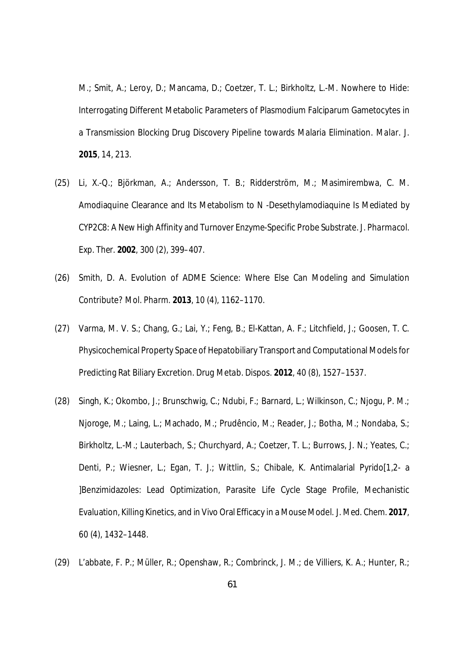M.; Smit, A.; Leroy, D.; Mancama, D.; Coetzer, T. L.; Birkholtz, L.-M. Nowhere to Hide: Interrogating Different Metabolic Parameters of Plasmodium Falciparum Gametocytes in a Transmission Blocking Drug Discovery Pipeline towards Malaria Elimination. *Malar. J.* **2015**, *14*, 213.

- (25) Li, X.-Q.; Björkman, A.; Andersson, T. B.; Ridderström, M.; Masimirembwa, C. M. Amodiaquine Clearance and Its Metabolism to N -Desethylamodiaquine Is Mediated by CYP2C8: A New High Affinity and Turnover Enzyme-Specific Probe Substrate. *J. Pharmacol. Exp. Ther.* **2002**, *300* (2), 399–407.
- (26) Smith, D. A. Evolution of ADME Science: Where Else Can Modeling and Simulation Contribute? *Mol. Pharm.* **2013**, *10* (4), 1162–1170.
- (27) Varma, M. V. S.; Chang, G.; Lai, Y.; Feng, B.; El-Kattan, A. F.; Litchfield, J.; Goosen, T. C. Physicochemical Property Space of Hepatobiliary Transport and Computational Models for Predicting Rat Biliary Excretion. *Drug Metab. Dispos.* **2012**, *40* (8), 1527–1537.
- (28) Singh, K.; Okombo, J.; Brunschwig, C.; Ndubi, F.; Barnard, L.; Wilkinson, C.; Njogu, P. M.; Njoroge, M.; Laing, L.; Machado, M.; Prudêncio, M.; Reader, J.; Botha, M.; Nondaba, S.; Birkholtz, L.-M.; Lauterbach, S.; Churchyard, A.; Coetzer, T. L.; Burrows, J. N.; Yeates, C.; Denti, P.; Wiesner, L.; Eqan, T. J.; Wittlin, S.; Chibale, K. Antimalarial Pyrido[1,2- a ]Benzimidazoles: Lead Optimization, Parasite Life Cycle Stage Profile, Mechanistic Evaluation, Killing Kinetics, and in Vivo Oral Efficacy in a Mouse Model. *J. Med. Chem.* **2017**, *60* (4), 1432–1448.
- (29) L'abbate, F. P.; Müller, R.; Openshaw, R.; Combrinck, J. M.; de Villiers, K. A.; Hunter, R.;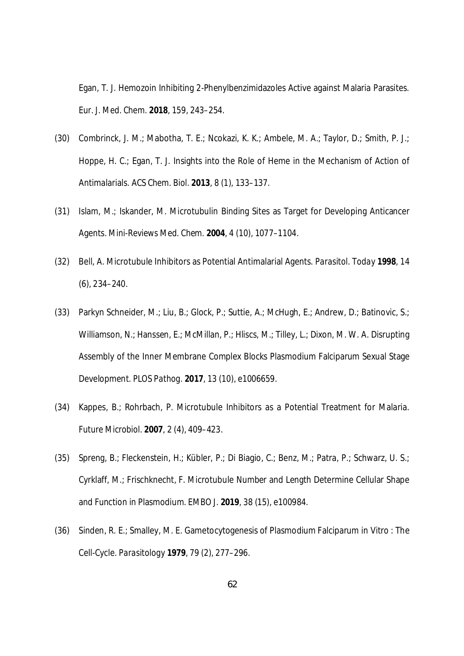Egan, T. J. Hemozoin Inhibiting 2-Phenylbenzimidazoles Active against Malaria Parasites. *Eur. J. Med. Chem.* **2018**, *159*, 243–254.

- (30) Combrinck, J. M.; Mabotha, T. E.; Ncokazi, K. K.; Ambele, M. A.; Taylor, D.; Smith, P. J.; Hoppe, H. C.; Egan, T. J. Insights into the Role of Heme in the Mechanism of Action of Antimalarials. *ACS Chem. Biol.* **2013**, *8* (1), 133–137.
- (31) Islam, M.; Iskander, M. Microtubulin Binding Sites as Target for Developing Anticancer Agents. *Mini-Reviews Med. Chem.* **2004**, *4* (10), 1077–1104.
- (32) Bell, A. Microtubule Inhibitors as Potential Antimalarial Agents. *Parasitol. Today* **1998**, *14* (6), 234–240.
- (33) Parkyn Schneider, M.; Liu, B.; Glock, P.; Suttie, A.; McHugh, E.; Andrew, D.; Batinovic, S.; Williamson, N.; Hanssen, E.; McMillan, P.; Hliscs, M.; Tilley, L.; Dixon, M. W. A. Disrupting Assembly of the Inner Membrane Complex Blocks Plasmodium Falciparum Sexual Stage Development. *PLOS Pathog.* **2017**, *13* (10), e1006659.
- (34) Kappes, B.; Rohrbach, P. Microtubule Inhibitors as a Potential Treatment for Malaria. *Future Microbiol.* **2007**, *2* (4), 409–423.
- (35) Spreng, B.; Fleckenstein, H.; Kübler, P.; Di Biagio, C.; Benz, M.; Patra, P.; Schwarz, U. S.; Cyrklaff, M.; Frischknecht, F. Microtubule Number and Length Determine Cellular Shape and Function in Plasmodium. *EMBO J.* **2019**, *38* (15), e100984.
- (36) Sinden, R. E.; Smalley, M. E. Gametocytogenesis of Plasmodium Falciparum in Vitro : The Cell-Cycle. *Parasitology* **1979**, *79* (2), 277–296.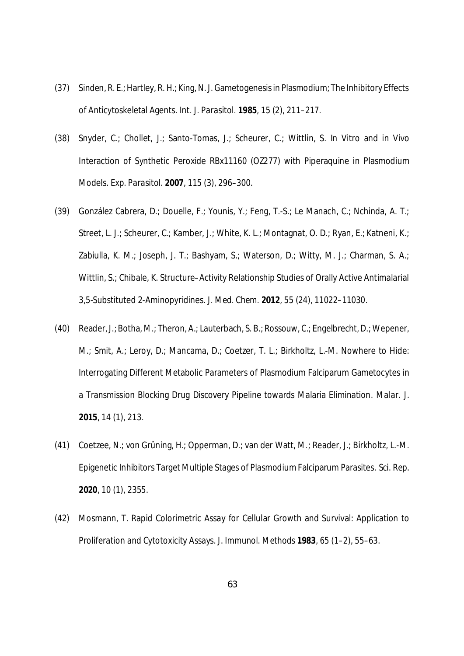- (37) Sinden, R. E.; Hartley, R. H.; King, N. J. Gametogenesis in Plasmodium; The Inhibitory Effects of Anticytoskeletal Agents. *Int. J. Parasitol.* **1985**, *15* (2), 211–217.
- (38) Snyder, C.; Chollet, J.; Santo-Tomas, J.; Scheurer, C.; Wittlin, S. In Vitro and in Vivo Interaction of Synthetic Peroxide RBx11160 (OZ277) with Piperaquine in Plasmodium Models. *Exp. Parasitol.* **2007**, *115* (3), 296–300.
- (39) González Cabrera, D.; Douelle, F.; Younis, Y.; Feng, T.-S.; Le Manach, C.; Nchinda, A. T.; Street, L. J.; Scheurer, C.; Kamber, J.; White, K. L.; Montagnat, O. D.; Ryan, E.; Katneni, K.; Zabiulla, K. M.; Joseph, J. T.; Bashyam, S.; Waterson, D.; Witty, M. J.; Charman, S. A.; Wittlin, S.; Chibale, K. Structure–Activity Relationship Studies of Orally Active Antimalarial 3,5-Substituted 2-Aminopyridines. *J. Med. Chem.* **2012**, *55* (24), 11022–11030.
- (40) Reader, J.; Botha, M.; Theron, A.; Lauterbach, S. B.; Rossouw, C.; Engelbrecht, D.; Wepener, M.; Smit, A.; Leroy, D.; Mancama, D.; Coetzer, T. L.; Birkholtz, L.-M. Nowhere to Hide: Interrogating Different Metabolic Parameters of Plasmodium Falciparum Gametocytes in a Transmission Blocking Drug Discovery Pipeline towards Malaria Elimination. *Malar. J.* **2015**, *14* (1), 213.
- (41) Coetzee, N.; von Grüning, H.; Opperman, D.; van der Watt, M.; Reader, J.; Birkholtz, L.-M. Epigenetic Inhibitors Target Multiple Stages of Plasmodium Falciparum Parasites. *Sci. Rep.* **2020**, *10* (1), 2355.
- (42) Mosmann, T. Rapid Colorimetric Assay for Cellular Growth and Survival: Application to Proliferation and Cytotoxicity Assays. *J. Immunol. Methods* **1983**, *65* (1–2), 55–63.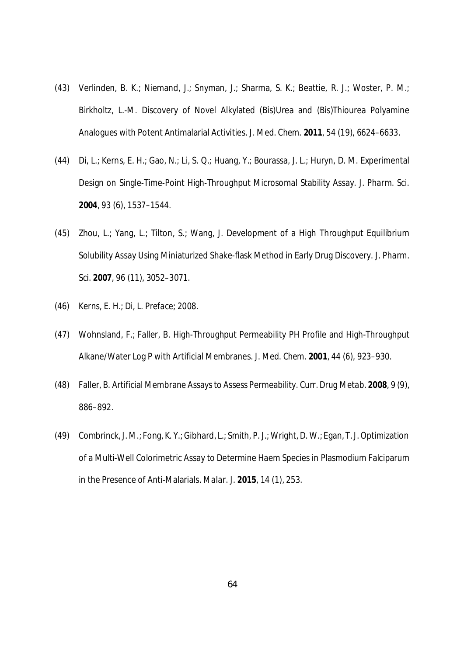- (43) Verlinden, B. K.; Niemand, J.; Snyman, J.; Sharma, S. K.; Beattie, R. J.; Woster, P. M.; Birkholtz, L.-M. Discovery of Novel Alkylated (Bis)Urea and (Bis)Thiourea Polyamine Analogues with Potent Antimalarial Activities. *J. Med. Chem.* **2011**, *54* (19), 6624–6633.
- (44) Di, L.; Kerns, E. H.; Gao, N.; Li, S. Q.; Huang, Y.; Bourassa, J. L.; Huryn, D. M. Experimental Design on Single-Time-Point High-Throughput Microsomal Stability Assay. *J. Pharm. Sci.* **2004**, *93* (6), 1537–1544.
- (45) Zhou, L.; Yang, L.; Tilton, S.; Wang, J. Development of a High Throughput Equilibrium Solubility Assay Using Miniaturized Shake-flask Method in Early Drug Discovery. *J. Pharm. Sci.* **2007**, *96* (11), 3052–3071.
- (46) Kerns, E. H.; Di, L. *Preface*; 2008.
- (47) Wohnsland, F.; Faller, B. High-Throughput Permeability PH Profile and High-Throughput Alkane/Water Log P with Artificial Membranes. *J. Med. Chem.* **2001**, *44* (6), 923–930.
- (48) Faller, B. Artificial Membrane Assays to Assess Permeability. *Curr. Drug Metab.* **2008**, *9* (9), 886–892.
- (49) Combrinck, J. M.; Fong, K. Y.; Gibhard, L.; Smith, P. J.; Wright, D. W.; Egan, T. J. Optimization of a Multi-Well Colorimetric Assay to Determine Haem Species in Plasmodium Falciparum in the Presence of Anti-Malarials. *Malar. J.* **2015**, *14* (1), 253.